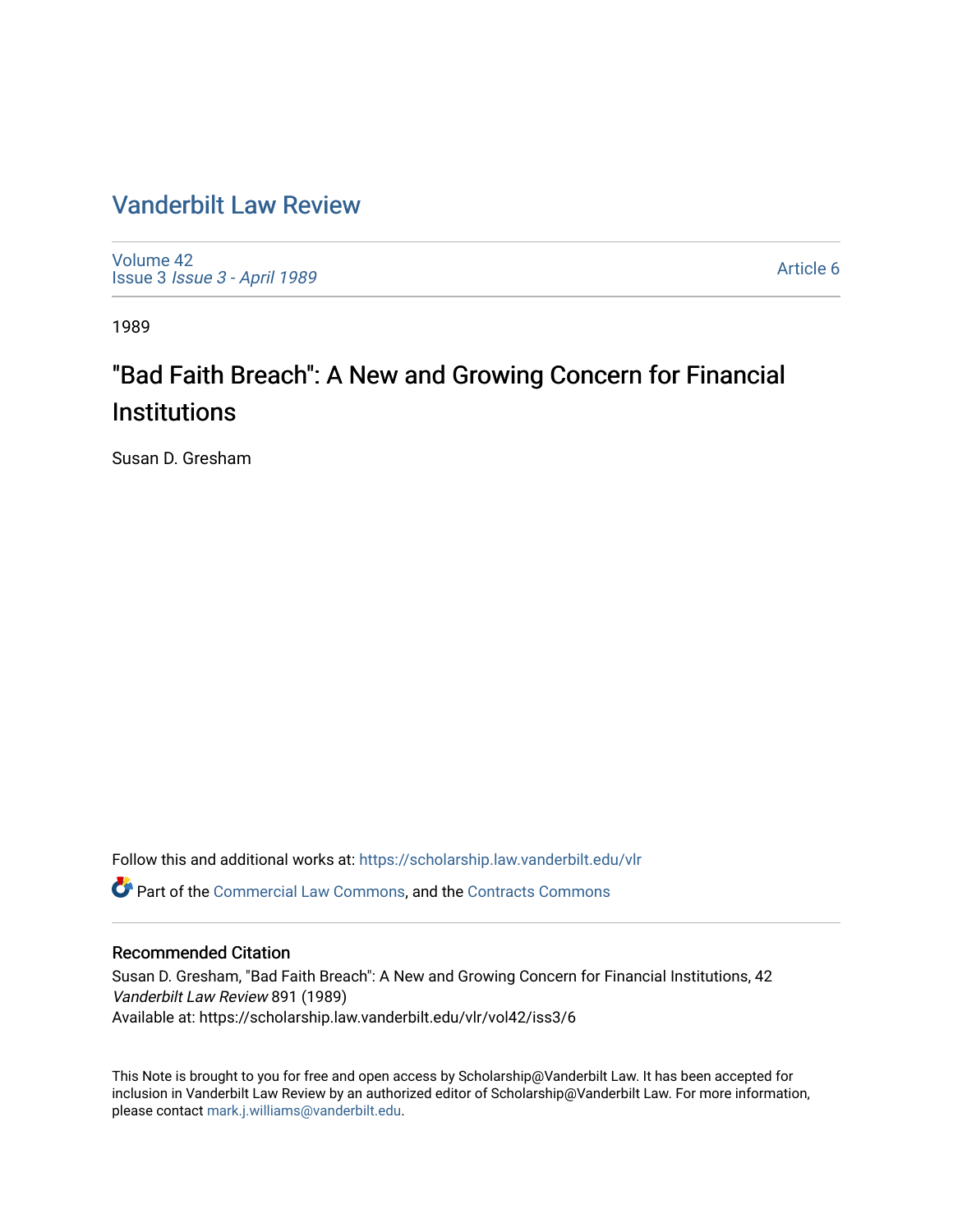# [Vanderbilt Law Review](https://scholarship.law.vanderbilt.edu/vlr)

[Volume 42](https://scholarship.law.vanderbilt.edu/vlr/vol42) Issue 3 [Issue 3 - April 1989](https://scholarship.law.vanderbilt.edu/vlr/vol42/iss3)

[Article 6](https://scholarship.law.vanderbilt.edu/vlr/vol42/iss3/6) 

1989

# "Bad Faith Breach": A New and Growing Concern for Financial **Institutions**

Susan D. Gresham

Follow this and additional works at: [https://scholarship.law.vanderbilt.edu/vlr](https://scholarship.law.vanderbilt.edu/vlr?utm_source=scholarship.law.vanderbilt.edu%2Fvlr%2Fvol42%2Fiss3%2F6&utm_medium=PDF&utm_campaign=PDFCoverPages)

Part of the [Commercial Law Commons](http://network.bepress.com/hgg/discipline/586?utm_source=scholarship.law.vanderbilt.edu%2Fvlr%2Fvol42%2Fiss3%2F6&utm_medium=PDF&utm_campaign=PDFCoverPages), and the [Contracts Commons](http://network.bepress.com/hgg/discipline/591?utm_source=scholarship.law.vanderbilt.edu%2Fvlr%2Fvol42%2Fiss3%2F6&utm_medium=PDF&utm_campaign=PDFCoverPages)

# Recommended Citation

Susan D. Gresham, "Bad Faith Breach": A New and Growing Concern for Financial Institutions, 42 Vanderbilt Law Review 891 (1989) Available at: https://scholarship.law.vanderbilt.edu/vlr/vol42/iss3/6

This Note is brought to you for free and open access by Scholarship@Vanderbilt Law. It has been accepted for inclusion in Vanderbilt Law Review by an authorized editor of Scholarship@Vanderbilt Law. For more information, please contact [mark.j.williams@vanderbilt.edu.](mailto:mark.j.williams@vanderbilt.edu)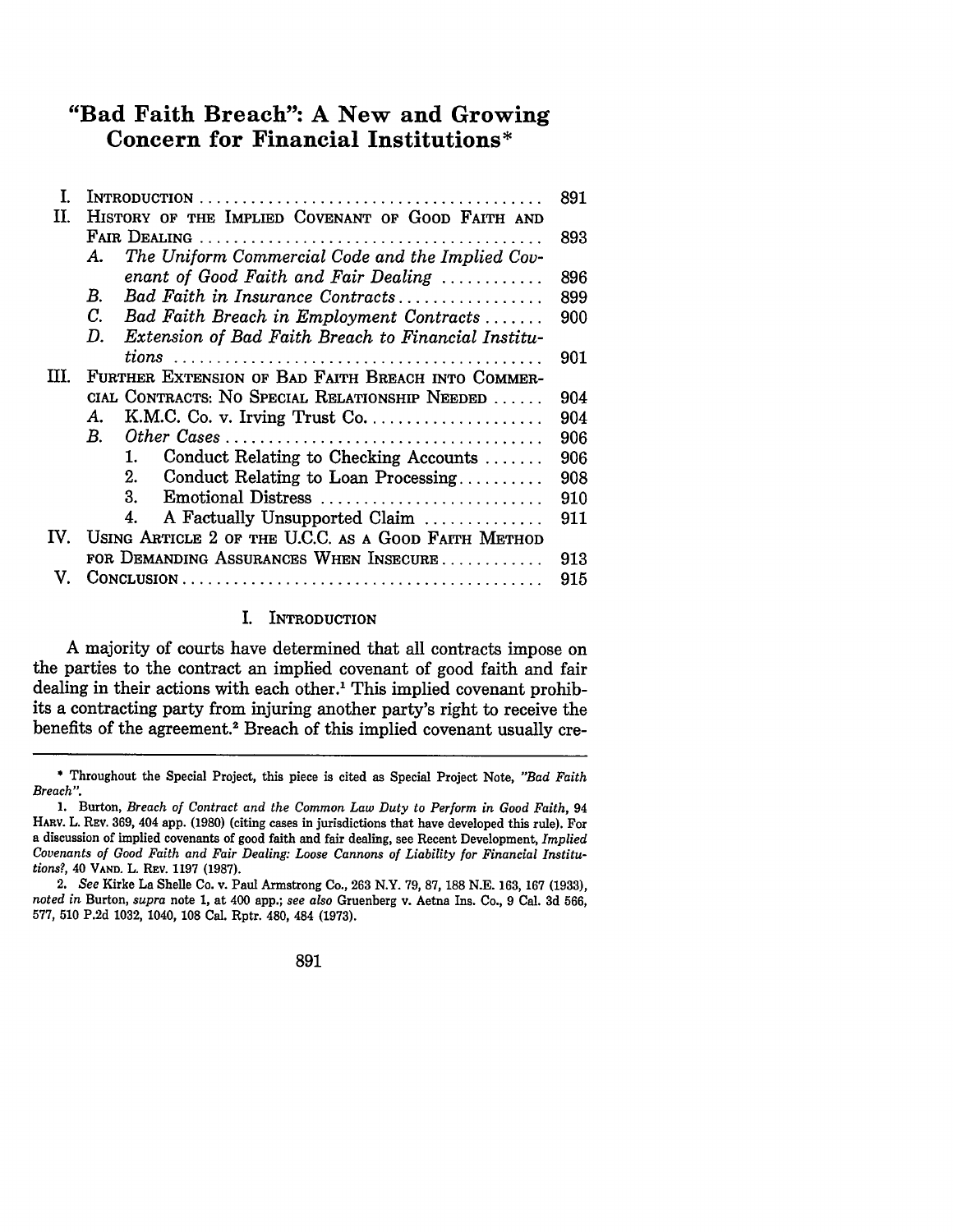# **"Bad Faith Breach": A New and Growing Concern for Financial Institutions\***

| T.   |                                                           | 891 |
|------|-----------------------------------------------------------|-----|
| П.   | HISTORY OF THE IMPLIED COVENANT OF GOOD FAITH AND         |     |
|      | FAIR DEALING.                                             | 893 |
|      | The Uniform Commercial Code and the Implied Cov-<br>А.    |     |
|      | enant of Good Faith and Fair Dealing                      | 896 |
|      | Bad Faith in Insurance Contracts<br>В.                    | 899 |
|      | C.<br>Bad Faith Breach in Employment Contracts            | 900 |
|      | Extension of Bad Faith Breach to Financial Institu-<br>D. |     |
|      |                                                           | 901 |
| III. | FURTHER EXTENSION OF BAD FAITH BREACH INTO COMMER-        |     |
|      | CIAL CONTRACTS: NO SPECIAL RELATIONSHIP NEEDED            | 904 |
|      | А.                                                        | 904 |
|      | $B_{\cdot}$                                               | 906 |
|      | Conduct Relating to Checking Accounts<br>1.               | 906 |
|      | Conduct Relating to Loan Processing<br>2.                 | 908 |
|      | Emotional Distress<br>3.                                  | 910 |
|      | A Factually Unsupported Claim<br>4.                       | 911 |
| IV.  | USING ARTICLE 2 OF THE U.C.C. AS A GOOD FAITH METHOD      |     |
|      | FOR DEMANDING ASSURANCES WHEN INSECURE                    | 913 |
| V.   |                                                           | 915 |
|      |                                                           |     |

# I. INTRODUCTION

**A** majority of courts have determined that all contracts impose on the parties to the contract an implied covenant of good faith and fair dealing in their actions with each other.<sup>1</sup> This implied covenant prohibits a contracting party from injuring another party's right to receive the benefits of the agreement.2 Breach of this implied covenant usually cre-

**<sup>\*</sup>** Throughout the Special Project, this piece is cited as Special Project Note, *"Bad Faith Breach".*

<sup>1.</sup> Burton, *Breach of Contract and the Common Law Duty to Perform in Good Faith, 94* HARv. L. REV. 369, 404 app. (1980) (citing cases in jurisdictions that have developed this rule). For a discussion of implied covenants of good faith and fair dealing, see Recent Development, *Implied Covenants of Good Faith and Fair Dealing: Loose Cannons of Liability for Financial Institutions?,* 40 **VAND. L.** REV. **1197 (1987).**

*<sup>2.</sup> See* Kirke La Shelle Co. v. Paul Armstrong Co., **263** N.Y. 79, 87, 188 N.E. 163, 167 (1933), *noted in* Burton, *supra* note 1, at 400 app.; *see also* Gruenberg v. Aetna Ins. Co., 9 Cal. 3d 566, 577, 510 P.2d 1032, 1040, 108 Cal. Rptr. 480, 484 (1973).

<sup>891</sup>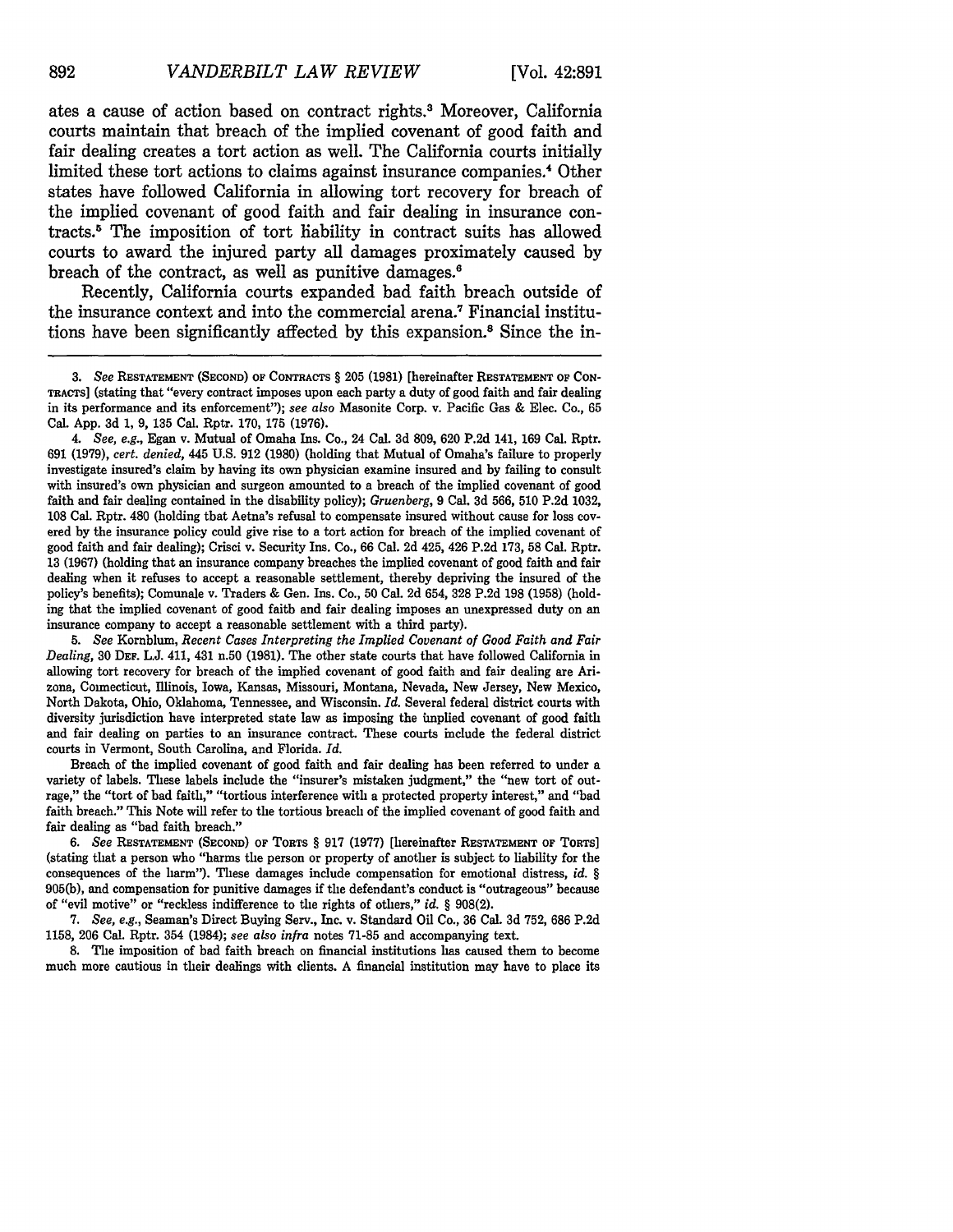ates a cause of action based on contract rights. Moreover, California courts maintain that breach of the implied covenant of good faith and fair dealing creates a tort action as well. The California courts initially limited these tort actions to claims against insurance companies.<sup>4</sup> Other states have followed California in allowing tort recovery for breach of the implied covenant of good faith and fair dealing in insurance contracts.5 The imposition of tort liability in contract suits has allowed courts to award the injured party all damages proximately caused by breach of the contract, as well as punitive damages.<sup>6</sup>

Recently, California courts expanded bad faith breach outside of the insurance context and into the commercial arena.7 Financial institutions have been significantly affected by this expansion. 8 Since the in-

*5. See* Kornblum, *Recent Cases Interpreting the Implied Covenant of Good Faith and Fair Dealing,* 30 **DEF.** L.J. 411, 431 n.50 (1981). The other state courts that have followed California in allowing tort recovery for breach of the implied covenant of good faith and fair dealing are Arizona, Connecticut, Illinois, Iowa, Kansas, Missouri, Montana, Nevada, New Jersey, New Mexico, North Dakota, Ohio, Oklahoma, Tennessee, and Wisconsin. *Id.* Several federal district courts with diversity jurisdiction have interpreted state law as imposing the implied covenant of good faith and fair dealing on parties to an insurance contract. These courts include the federal district courts in Vermont, South Carolina, and Florida. *Id.*

Breach of the implied covenant of good faith and fair dealing has been referred to under a variety of labels. These labels include the "insurer's mistaken judgment," the "new tort of outrage," the "tort of bad faith," "tortious interference with a protected property interest," and "bad faith breach." This Note will refer to the tortious breach of the implied covenant of good faith and fair dealing as "bad faith breach."

*6. See* RESTATEMENT **(SECOND) OF** TORTS § **917 (1977)** [hereinafter **RESTATEMENT OF TORTS]** (stating that a person who "harms the person or property of another is subject to liability for the consequences of the harm"). These damages include compensation for emotional distress, *id. §* 905(b), and compensation for punitive damages if the defendant's conduct is "outrageous" because of "evil motive" or "reckless indifference to the rights of others," *id.* § 908(2).

7. *See, e.g.,* Seaman's Direct Buying Serv., Inc. v. Standard Oil Co., 36 Cal. 3d 752, 686 P.2d 1158, **206** Cal. Rptr. 354 (1984); *see also infra* notes 71-85 and accompanying text.

8. The imposition of bad faith breach on financial institutions has caused them to become much more cautious in their dealings with clients. A financial institution may have to place its

*<sup>3.</sup> See* RESTATEMENT (SECOND) OF **CONTRACTS § 205 (1981)** [hereinafter **RESTATEMENT OF CON-TRACTS]** (stating that "every contract imposes upon each party a duty of good faith and fair dealing in its performance and its enforcement"); *see also* Masonite Corp. v. Pacific Gas **&** Elec. Co., **65** Cal. **App. 3d 1, 9, 135** Cal. Rptr. **170, 175 (1976).**

*<sup>4.</sup> See, e.g.,* Egan v. Mutual of Omaha Ins. Co., 24 Cal. **3d 809, 620 P.2d** 141, **169** Cal. Rptr. **691 (1979),** *cert. denied,* 445 **U.S. 912 (1980)** (holding that Mutual of Omaha's failure to properly investigate insured's claim **by** having its own physician examine insured and by failing to consult with insured's own physician and surgeon amounted to a breach of the implied covenant of good faith and fair dealing contained in the disability policy); *Gruenberg,* 9 Cal. **3d** 566, 510 P.2d 1032, 108 Cal. Rptr. 480 (holding that Aetna's refusal to compensate insured without cause for loss covered by the insurance policy could give rise to a tort action for breach of the implied covenant of good faith and fair dealing); Crisci v. Security Ins. Co., 66 Cal. 2d 425, 426 P.2d 173, 58 Cal. Rptr. 13 (1967) (holding that an insurance company breaches the implied covenant of good faith and fair dealing when it refuses to accept a reasonable settlement, thereby depriving the insured of the policy's benefits); Comunale v. Traders & Gen. Ins. Co., **50** Cal. 2d 654, **328** P.2d **198** (1958) (holding that the implied covenant of good faith and fair dealing imposes an unexpressed duty on an insurance company to accept a reasonable settlement with a third party).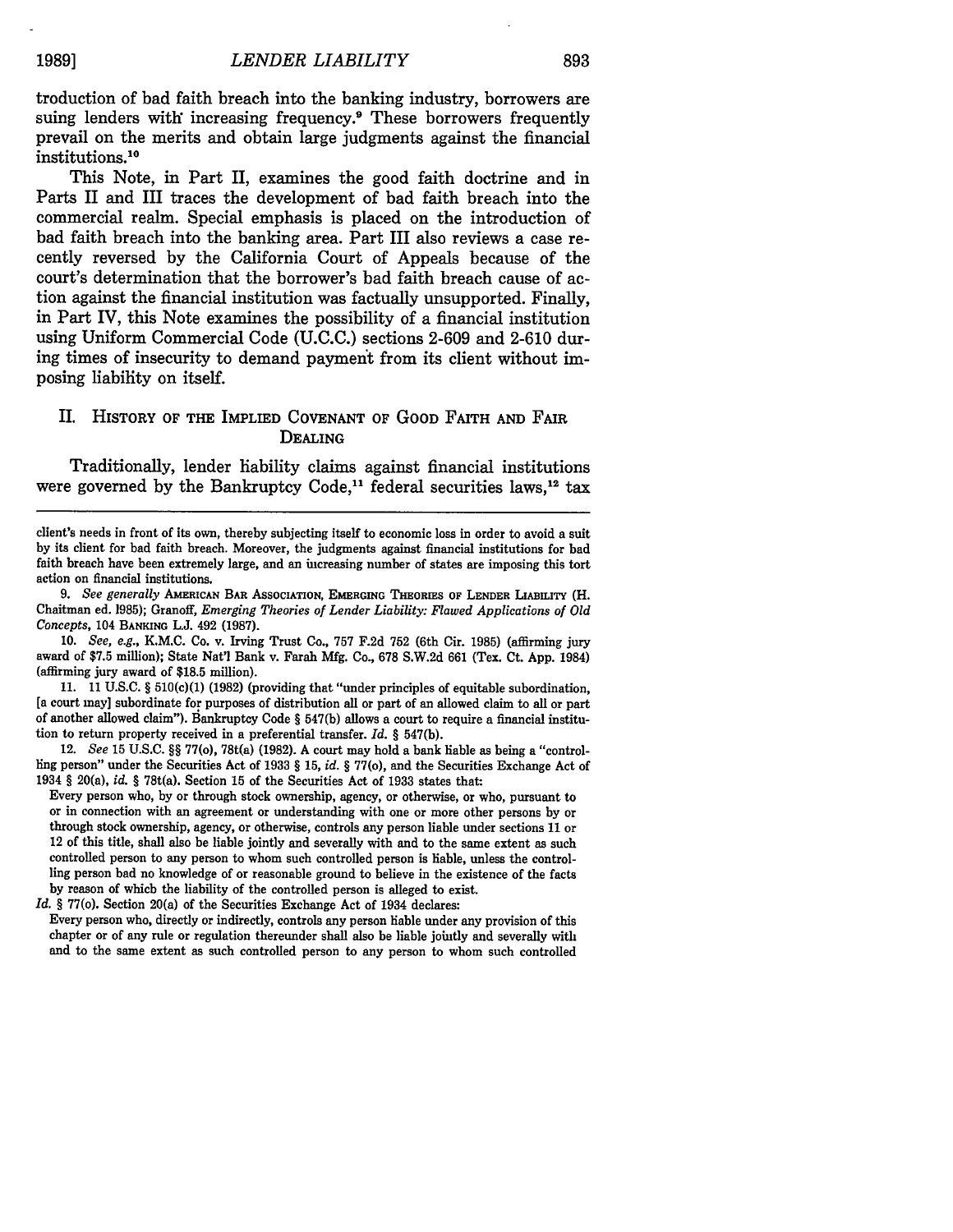troduction of bad faith breach into the banking industry, borrowers are suing lenders with increasing frequency.9 These borrowers frequently prevail on the merits and obtain large judgments against the financial institutions.10

This Note, in Part II, examines the good faith doctrine and in Parts II and III traces the development of bad faith breach into the commercial realm. Special emphasis is placed on the introduction of bad faith breach into the banking area. Part III also reviews a case recently reversed by the California Court of Appeals because of the court's determination that the borrower's bad faith breach cause of action against the financial institution was factually unsupported. Finally, in Part IV, this Note examines the possibility of a financial institution using Uniform Commercial Code (U.C.C.) sections 2-609 and 2-610 during times of insecurity to demand payment from its client without imposing liability on itself.

# II. **HISTORY OF THE IMPLIED COVENANT OF** GOOD FAITH **AND FAIR DEALING**

Traditionally, lender hability claims against financial institutions were governed by the Bankruptcy Code,<sup>11</sup> federal securities laws,<sup>12</sup> tax

*9. See generally* **AMERICAN BAR ASSOCIATION, EMERGING THEORIES** OF LENDER **LIABILITY** (H. Chaitman ed. **1985);** Granoff, *Emerging Theories of Lender Liability: Flawed Applications of Old Concepts,* 104 BANKING **L.J.** 492 **(1987).**

**10.** *See, e.g.,* K.M.C. Co. v. Irving Trust Co., **757 F.2d 752** (6th Cir. **1985)** (affirming jury award of **\$7.5** million); State Nat'l Bank v. Farah **Mfg.** Co., **678 S.W.2d** 661 (Tex. Ct. **App.** 1984) (affirming jury award of **\$18.5** million).

**11. 11 U.S.C.** § 510(c)(1) **(1982)** (providing that "under principles of equitable subordination, [a court may] subordinate for purposes of distribution all or part of an allowed claim to all or part of another allowed claim"). Bankruptcy Code § **547(b)** allows a court to require a financial institution to return property received in a preferential transfer. *Id. §* **547(b).**

12. *See* **15 U.S.C.** §§ 77(o), 78t(a) **(1982). A** court may hold a bank liable as being a "controlling person" under the Securities Act of **1933** § **15,** *id. §* 77(o), and the Securities Exchange Act of 1934 § 20(a), *id. §* 78t(a). Section **15** of the Securities Act of **1933** states that:

Every person who, by or through stock ownership, agency, or otherwise, or who, pursuant to or in connection with an agreement or understanding with one or more other persons by or through stock ownership, agency, or otherw controlled person to any person to whom such controlled person is liable, unless the controlling person **had** no knowledge of or reasonable ground to believe in the existence of the facts **by** reason of which the liability of the controlled person is alleged to exist.

*Id. §* 77(o). Section 20(a) of the Securities Exchange Act of 1934 declares:

Every person who, directly or indirectly, controls any person liable under any provision of this chapter or of any rule or regulation thereunder shall also be liable jointly and severally with and to the same extent as such controlled person to any person to whom such controlled

client's needs in front of its own, thereby subjecting itself to economic loss in order to avoid a suit **by** its client for bad faith breach. Moreover, the judgments against financial institutions for bad faith breach have been extremely large, and an increasing number of states are imposing this tort action on financial institutions.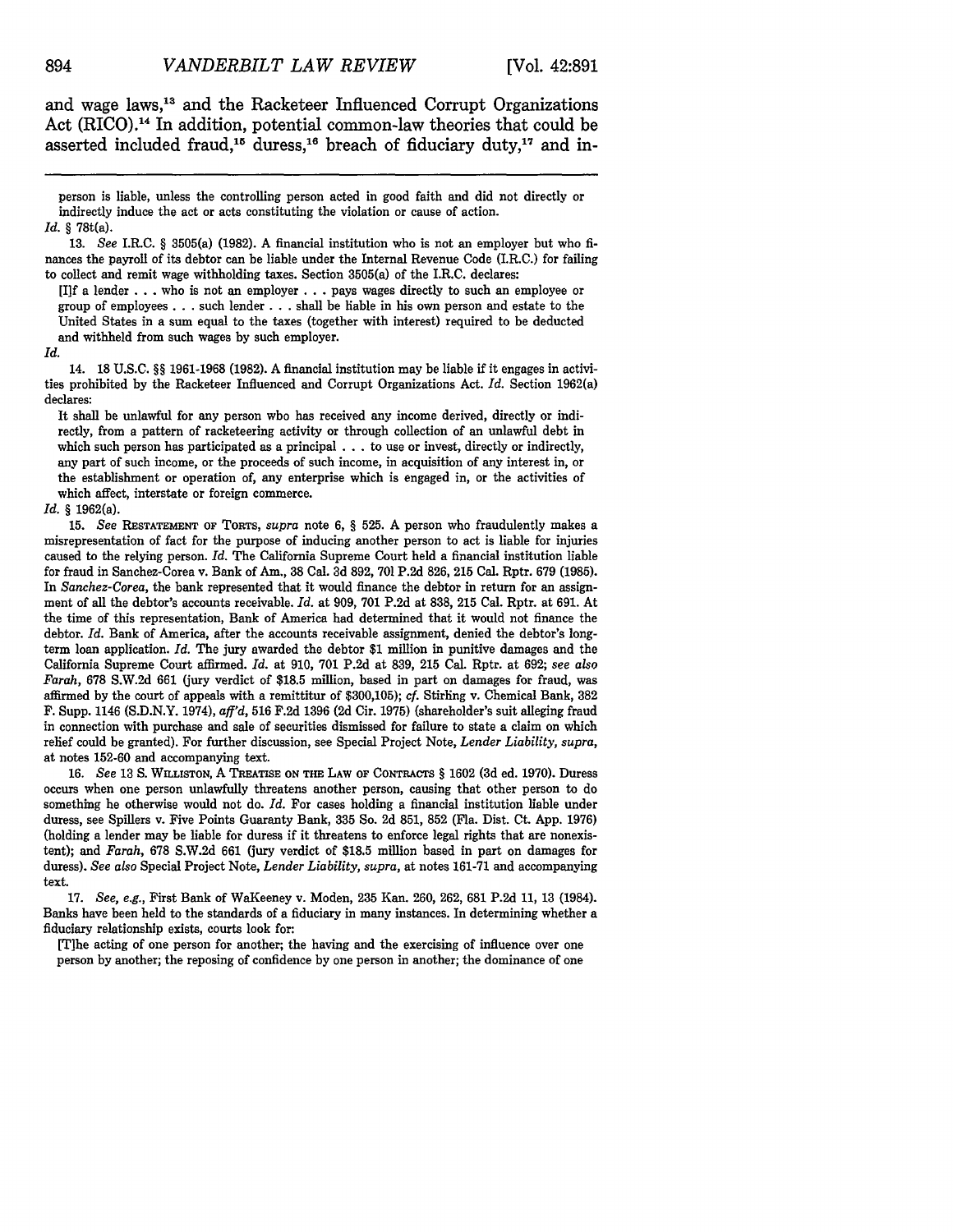and wage laws, 13 and the Racketeer Influenced Corrupt Organizations Act (RICO).<sup>14</sup> In addition, potential common-law theories that could be asserted included fraud,<sup>15</sup> duress,<sup>16</sup> breach of fiduciary duty,<sup>17</sup> and in-

person is liable, unless the controlling person acted in good faith and did not directly or indirectly induce the act or acts constituting the violation or cause of action. *Id.* § 78t(a).

[I]f a lender **. . .** who is not an employer **. . .**pays wages directly to such an employee or group of employees **. . .** such lender. **. .** shall be liable in his own person and estate to the United States in a sum equal to the taxes (together with interest) required to be deducted and withheld from such wages by such employer.

*Id.*

14. 18 U.S.C. *§§* 1961-1968 (1982). A financial institution may be liable if it engages in activities prohibited by the Racketeer Influenced and Corrupt Organizations Act. *Id.* Section 1962(a) declares:

It shall be unlawful for any person who has received any income derived, directly or indirectly, from a pattern of racketeering activity or through collection of an unlawful debt in which such person has participated as a principal . **.** . to use or invest, directly or indirectly, any part of such income, or the proceeds of such income, in acquisition of any interest in, or the establishment or operation of, any enterprise which is engaged in, or the activities of which affect, interstate or foreign commerce.

#### *Id. §* 1962(a).

15. See **RESTATEMENT OF** TORTS, *supra* note 6, *§* 525. A person who fraudulently makes a misrepresentation of fact for the purpose of inducing another person to act is liable for injuries caused to the relying person. *Id.* The California Supreme Court held a financial institution liable for fraud in Sanchez-Corea v. Bank of Am., 38 Cal. 3d 892, 701 P.2d 826, 215 Cal. Rptr. 679 (1985). In *Sanchez-Corea,* the bank represented that it would finance the debtor in return for an assignment of all the debtor's accounts receivable. *Id.* at 909, 701 P.2d at 838, 215 Cal. Rptr. at 691. At the time of this representation, Bank of America had determined that it would not finance the debtor. *Id.* Bank of America, after the accounts receivable assignment, denied the debtor's longterm loan application. *Id.* The jury awarded the debtor \$1 million in punitive damages and the California Supreme Court affirmed. *Id.* at 910, **701** P.2d at 839, 215 Cal. Rptr. at 692; *see* also *Farah,* 678 S.W.2d 661 (jury verdict of \$18.5 million, based in part on damages for fraud, was affirmed by the court of appeals with a remittitur of \$300,105); cf. Stirling v. Chemical Bank, 382 F. Supp. 1146 (S.D.N.Y. 1974), *aff'd,* 516 F.2d 1396 (2d Cir. 1975) (shareholder's suit alleging fraud in connection with purchase and sale of securities dismissed for failure to state a claim on which relief could be granted). For further discussion, see Special Project Note, *Lender Liability, supra,* at notes **152-60** and accompanying text.

**16.** *See* **13 S. WILLISTON,** A **TREATISE ON THE** LAW **OF** CONTRACTS *§* 1602 **(3d** ed. **1970).** Duress occurs when one person unlawfully threatens another person, causing that other person to do something he otherwise would not do. *Id.* For cases holding a financial institution liable under duress, see Spillers v. Five Points Guaranty Bank, **335** So. 2d 851, **852** (Fla. Dist. Ct. **App. 1976)** (holding a lender may be liable for duress if it threatens to enforce legal rights that are nonexistent); and *Farah,* **678 S.W.2d 661** (jury verdict of **\$18.5** million based in part on damages for duress). *See also* Special Project Note, *Lender Liability, supra,* at notes **161-71** and accompanying text.

**17.** *See, e.g.,* First Bank of WaKeeney v. Moden, **235** Kan. **260,** 262, **681 P.2d 11, 13** (1984). Banks have been held to the standards of a fiduciary in many instances. In determining whether a fiduciary relationship exists, courts look for:

[T]he acting of one person for another; the having and the exercising of influence over one person **by** another; the reposing of confidence **by** one person in another; the dominance of one

<sup>13.</sup> *See* I.R.C. *§* 3505(a) (1982). A financial institution who is not an employer but who finances the payroll of its debtor can be liable under the Internal Revenue Code (I.R.C.) for failing to collect and remit wage withholding taxes. Section 3505(a) of the I.R.C. declares: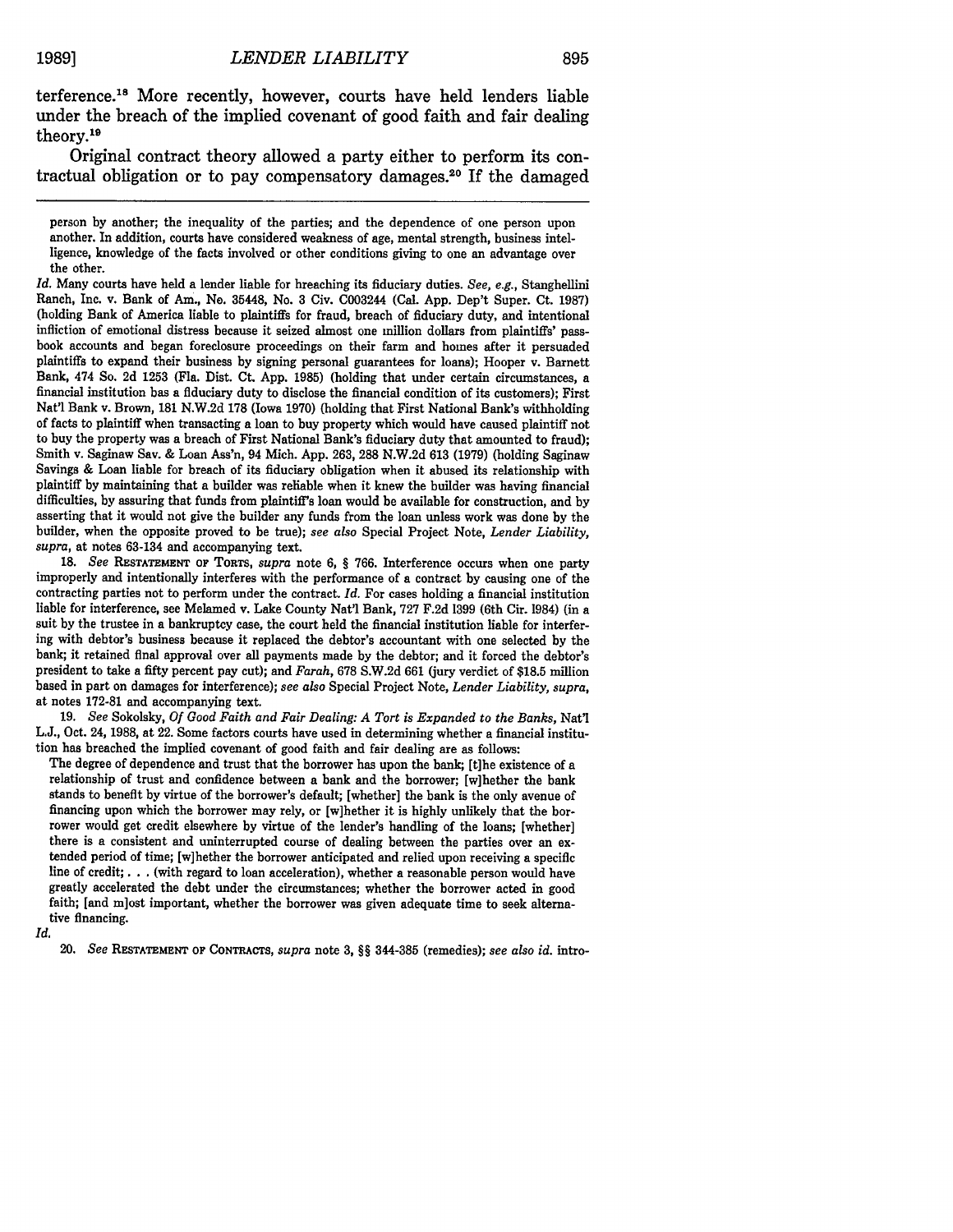terference.18 More recently, however, courts have held lenders liable under the breach of the implied covenant of good faith and fair dealing theory.19

Original contract theory allowed a party either to perform its contractual obligation or to pay compensatory damages.20 If the damaged

*Id.* Many courts have held a lender liable for breaching its fiduciary duties. *See, e.g.,* Stanghellini Ranch, Inc. v. Bank of Am., **Ne.** 35448, No. 3 Civ. C003244 (Cal. App. Dep't Super. Ct. 1987) (holding Bank of America liable to plaintiffs for fraud, breach of fiduciary duty, and intentional infliction of emotional distress because it seized almost one million dollars from plaintiffs' passbook accounts and began foreclosure proceedings on their farm and homes after it persuaded plaintiffs to expand their business by signing personal guarantees for loans); Hooper v. Barnett Bank, 474 So. 2d 1253 (Fla. Dist. Ct. App. 1985) (holding that under certain circumstances, a financial institution has a fiduciary duty to disclose the financial condition of its customers); First Nat'l Bank v. Brown, 181 N.W.2d 178 (Iowa 1970) (holding that First National Bank's withholding of facts to plaintiff when transacting a loan to buy property which would have caused plaintiff not to buy the property was a breach of First National Bank's fiduciary duty that amounted to fraud); Smith v. Saginaw Sav. & Loan Ass'n, 94 Mich. App. 263, 288 N.W.2d 613 (1979) (holding Saginaw Savings & Loan liable for breach of its fiduciary obligation when it abused its relationship with plaintiff by maintaining that a builder was reliable when it knew the builder was having financial difficulties, by assuring that funds from plaintiff's loan would be available for construction, and by asserting that it would not give the builder any funds from the loan unless work was done by the builder, when the opposite proved to be true); *see also* Special Project Note, *Lender Liability, supra,* at notes 63-134 and accompanying text.

18. *See* RESTATEMENT OF TORTS, *supra* note 6, § 766. Interference occurs when one party improperly and intentionally interferes with the performance of a contract by causing one of the contracting parties not to perform under the contract. *Id.* For cases holding a financial institution liable for interference, see Melamed v. Lake County Nat'l Bank, 727 F.2d 1399 (6th Cir. 1984) (in a suit by the trustee in a bankruptcy case, the court held the financial institution liable for interfering with debtor's business because it replaced the debtor's accountant with one selected by the bank; it retained final approval over all payments made by the debtor; and it forced the debtor's president to take a fifty percent pay cut); and *Farah,* 678 S.W.2d 661 (jury verdict of \$18.5 million based in part on damages for interference); *see also* Special Project Note, *Lender Liability, supra,* at notes 172-81 and accompanying text.

19. *See* Sokolsky, *Of Good Faith and Fair Dealing: A Tort is Expanded to the Banks,* Nat'l L.J., Oct. 24, 1988, at 22. Some factors courts have used in determining whether a financial institution has breached the implied covenant of good faith and fair dealing are as follows:

The degree of dependence and trust that the borrower has upon the bank; [t]he existence of a relationship of trust and confidence between a bank and the borrower; [w]hether the bank stands to benefit by virtue of the borrower's default; [whether] the bank is the only avenue of financing upon which the borrower may rely, or [w]hether it is highly unlikely that the borrower would get credit elsewhere by virtue of the lender's handling of the loans; [whether] there is a consistent and uninterrupted course of dealing between the parties over an extended period of time; [w]hether the borrower anticipated and relied upon receiving a specific line of credit;. **.** . (with regard to loan acceleration), whether a reasonable person would have greatly accelerated the debt under the circumstances; whether the borrower acted in good faith; [and m]ost important, whether the borrower was given adequate time to seek alternative financing.

*Id.*

20. *See* RESTATEMENT OF **CONTRACTS,** *supra* note 3, §§ 344-385 (remedies); *see also id.* intro-

person by another; the inequality of the parties; and the dependence of one person upon another. In addition, courts have considered weakness of age, mental strength, business intelligence, knowledge of the facts involved or other conditions giving to one an advantage over the other.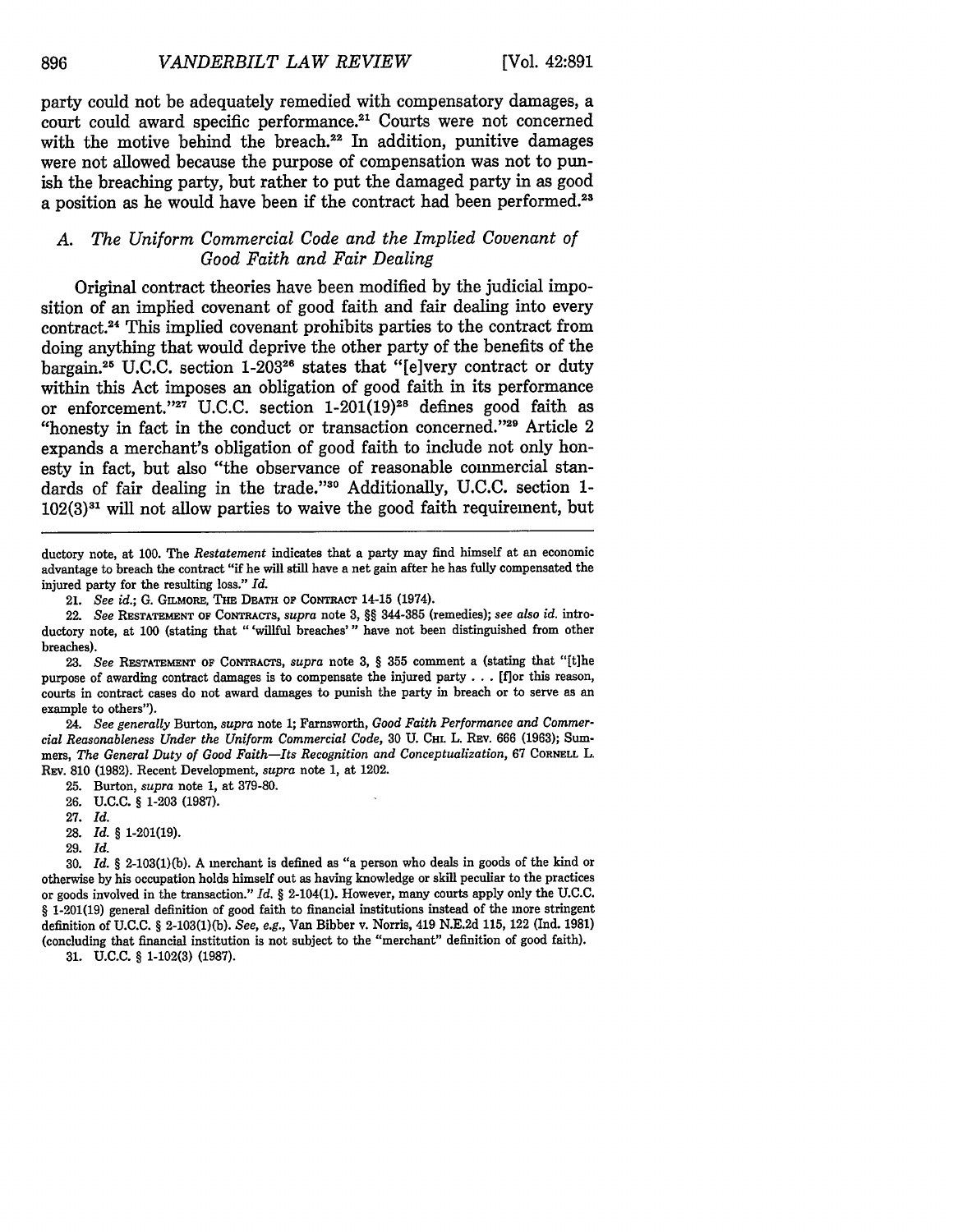party could not be adequately remedied with compensatory damages, a court could award specific performance.<sup>21</sup> Courts were not concerned with the motive behind the breach.<sup>22</sup> In addition, punitive damages were not allowed because the purpose of compensation was not to punish the breaching party, but rather to put the damaged party in as good a position as he would have been if the contract had been performed.<sup>23</sup>

# *A. The Uniform Commercial Code and the Implied Covenant of Good Faith and Fair Dealing*

Original contract theories have been modified by the judicial imposition of an implied covenant of good faith and fair dealing into every contract.<sup>24</sup> This implied covenant prohibits parties to the contract from doing anything that would deprive the other party of the benefits of the bargain.<sup>25</sup> U.C.C. section 1-203<sup>26</sup> states that "[e]very contract or duty within this Act imposes an obligation of good faith in its performance or enforcement."<sup>27</sup> U.C.C. section  $1-201(19)^{28}$  defines good faith as "honesty in fact in the conduct or transaction concerned." $2^9$  Article 2 expands a merchant's obligation of good faith to include not only honesty in fact, but also "the observance of reasonable commercial standards of fair dealing in the trade."30 Additionally, U.C.C. section 1-  $102(3)<sup>31</sup>$  will not allow parties to waive the good faith requirement, but

ductory note, at 100. The *Restatement* indicates that a party may find himself at an economic advantage to breach the contract "if he will still have a net gain after he has fully compensated the injured party for the resulting loss." *Id.*

21. *See id.;* G. GILMORE, **THE DEATH** op **CoNTRAcT** 14-15 (1974).

22. *See* **RESTATEMENT OF** CoNRAcTs, *supra* note 3, §§ 344-385 (remedies); *see also id.* introductory note, at 100 (stating that "'willful breaches'" have not been distinguished from other breaches).

23. *See* **RESTATEMENT OF** CONTRACTS, *supra* note 3, § 355 comment a (stating that "[t]he purpose of awarding contract damages is to compensate the injured party ... [flor this reason, courts in contract cases do not award damages to punish the party in breach or to serve as an example to others").

24. *See generally* Burton, *supra* note 1; Farnsworth, *Good Faith Performance and Commercial Reasonableness Under the Uniform Commercial Code,* 30 U. **CHL** L. REv. 666 (1963); Summers, *The General Duty of Good Faith-Its Recognition and Conceptualization,* <sup>67</sup>**CORNELL** L. REV. 810 (1982). Recent Development, *supra* note 1, at 1202.

25. Burton, *supra* note 1, at 379-80.

**26.** U.C.C. § 1-203 (1987).

27. *Id.*

28. *Id. §* 1-201(19).

29. *Id.*

30. *Id.* § 2-103(1)(b). A merchant is defined as "a person who deals in goods of the kind or otherwise by his occupation holds himself out as having knowledge or skill peculiar to the practices or goods involved in the transaction." *Id.* § 2-104(1). However, many courts apply only the U.C.C. § 1-201(19) general definition of good faith to financial institutions instead of the more stringent definition of U.C.C. § 2-103(1)(b). *See, e.g.,* Van Bibber v. Norris, 419 N.E.2d 115, 122 (Ind. 1981) (concluding that financial institution is not subject to the "merchant" definition of good faith).

**31.** U.C.C. § 1-102(3) (1987).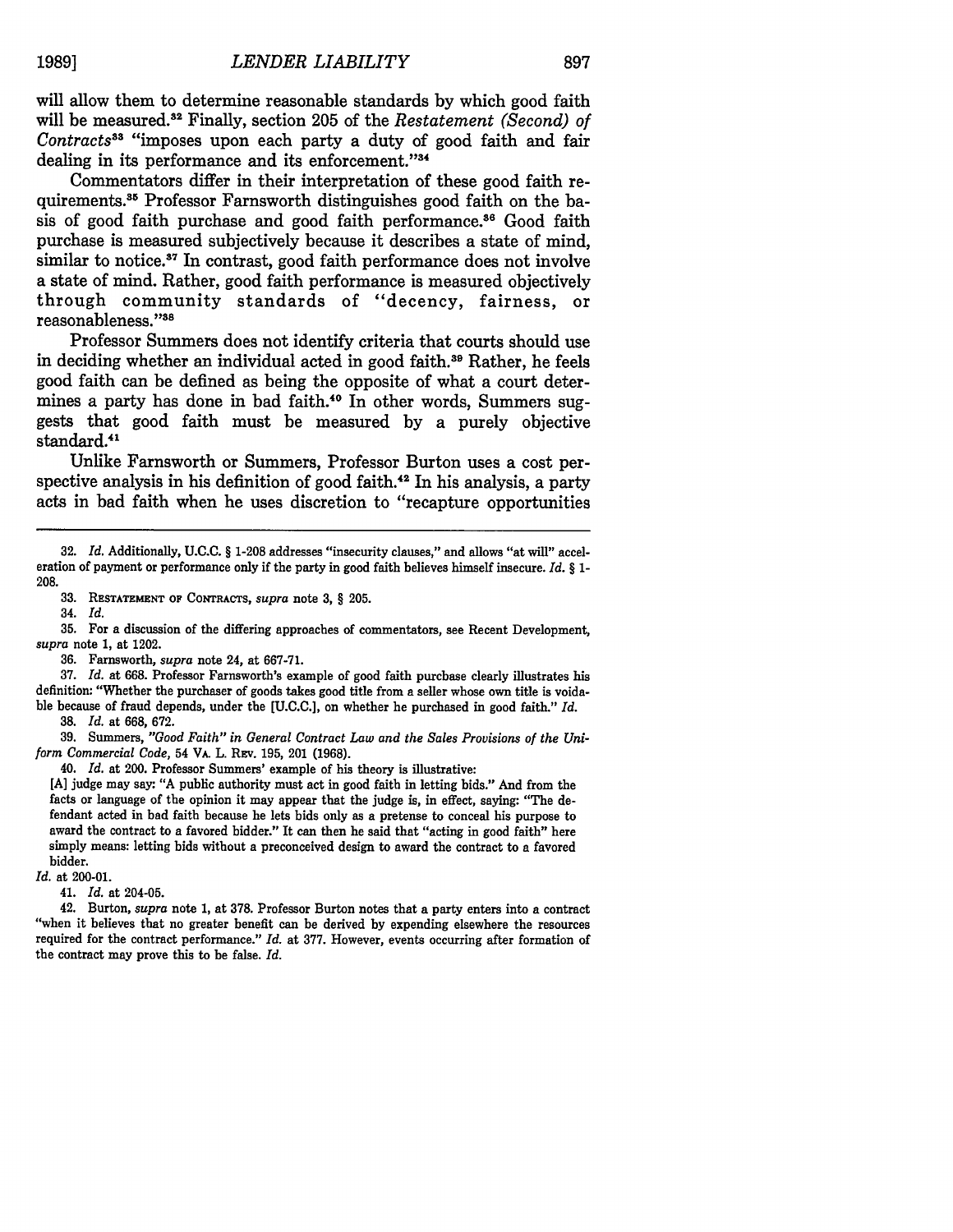will allow them to determine reasonable standards by which good faith will be measured.<sup>32</sup> Finally, section 205 of the *Restatement (Second) of Contracts"3* "imposes upon each party a duty of good faith and fair dealing in its performance and its enforcement."<sup>34</sup>

Commentators differ in their interpretation of these good faith requirements.<sup>35</sup> Professor Farnsworth distinguishes good faith on the basis of good faith purchase and good faith performance.<sup>36</sup> Good faith purchase is measured subjectively because it describes a state of mind, similar to notice.<sup>37</sup> In contrast, good faith performance does not involve a state of mind. Rather, good faith performance is measured objectively through community standards of "decency, fairness, or reasonableness."38

Professor Summers does not identify criteria that courts should use in deciding whether an individual acted in good faith.<sup>39</sup> Rather, he feels good faith can be defined as being the opposite of what a court determines a party has done in bad faith.<sup>40</sup> In other words, Summers suggests that good faith must be measured by a purely objective standard.<sup>41</sup>

Unlike Farnsworth or Summers, Professor Burton uses a cost perspective analysis in his definition of good faith.<sup>42</sup> In his analysis, a party acts in bad faith when he uses discretion to "recapture opportunities

33. **RESTATEMENT OF** CoNrRAcTs, *supra* note 3, § 205.

34. *Id.*

35. For a discussion of the differing approaches of commentators, see Recent Development, *supra* note 1, at 1202.

36. Farnsworth, *supra* note 24, at 667-71.

37. *Id.* at 668. Professor Farnsworth's example of good faith purchase clearly illustrates his definition: "Whether the purchaser of goods takes good title from a seller whose own title is voidable because of fraud depends, under the [U.C.C.], on whether he purchased in good faith." *Id.*

38. *Id.* at 668, 672.

39. Summers, *"Good Faith" in General Contract Law and the Sales Provisions of the Uniform Commercial Code,* 54 VA. L. **REv. 195,** 201 **(1968).**

40. *Id.* at 200. Professor Summers' example of his theory is illustrative:

[A] judge may say: "A public authority must act in good faith in letting bids." And from the facts or language of the opinion it may appear that the judge is, in effect, saying: "The defendant acted in bad faith because he lets bids only as a pretense to conceal his purpose to award the contract to a favored bidder." It can then be said that "acting in good faith" here simply means: letting bids without a preconceived design to award the contract to a favored bidder.

*Id.* at 200-01.

41. *Id.* at 204-05.

42. Burton, *supra* note 1, at 378. Professor Burton notes that a party enters into a contract "when it believes that no greater benefit can be derived by expending elsewhere the resources required for the contract performance." *Id.* at 377. However, events occurring after formation of the contract may prove this to be false. *Id.*

<sup>32.</sup> *Id.* Additionally, U.C.C. § 1-208 addresses "insecurity clauses," and allows "at will" acceleration of payment or performance only if the party in good faith believes himself insecure. *Id. §* 1- 208.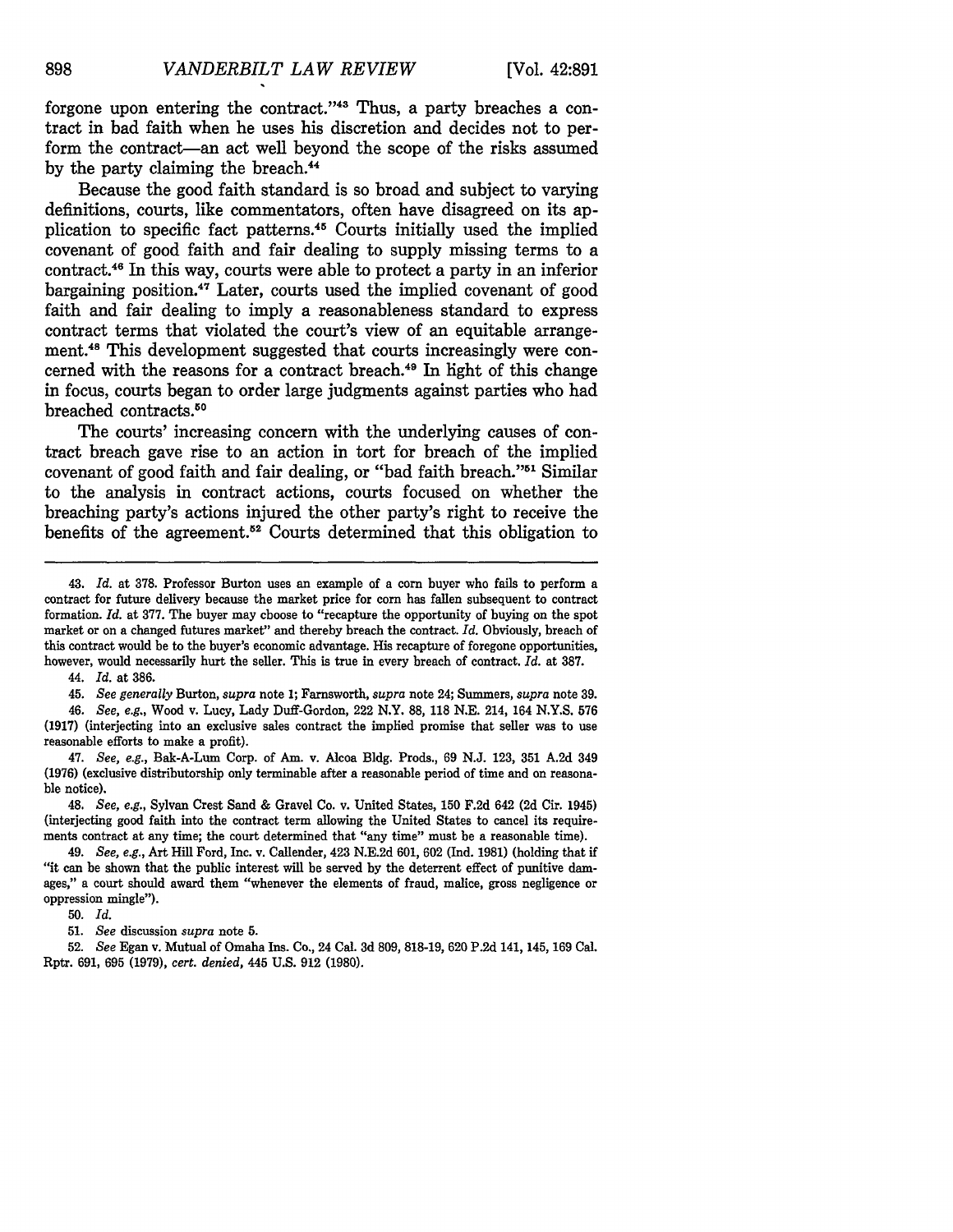forgone upon entering the contract."<sup>43</sup> Thus, a party breaches a contract in bad faith when he uses his discretion and decides not to perform the contract—an act well beyond the scope of the risks assumed by the party claiming the breach.<sup>44</sup>

Because the good faith standard is so broad and subject to varying definitions, courts, like commentators, often have disagreed on its application to specific fact patterns.45 Courts initially used the implied covenant of good faith and fair dealing to supply missing terms to a contract.46 In this way, courts were able to protect a party in an inferior bargaining position.<sup>47</sup> Later, courts used the implied covenant of good faith and fair dealing to imply a reasonableness standard to express contract terms that violated the court's view of an equitable arrangement.48 This development suggested that courts increasingly were concerned with the reasons for a contract breach.<sup>49</sup> In light of this change in focus, courts began to order large judgments against parties who had breached contracts.<sup>50</sup>

The courts' increasing concern with the underlying causes of contract breach gave rise to an action in tort for breach of the implied covenant of good faith and fair dealing, or "bad faith breach."<sup>51</sup> Similar to the analysis in contract actions, courts focused on whether the breaching party's actions injured the other party's right to receive the benefits of the agreement.<sup>52</sup> Courts determined that this obligation to

44. *Id.* at 386.

45. *See generally* Burton, *supra* note 1; Farnsworth, *supra* note 24; Summers, *supra* note **39.**

46. *See, e.g.,* Wood v. Lucy, Lady Duff-Gordon, 222 N.Y. 88, **118** N.E. 214, 164 N.Y.S. 576 (1917) (interjecting into an exclusive sales contract the implied promise that seller was to use reasonable efforts to make a profit).

47. *See, e.g.,* Bak-A-Lum Corp. of Am. v. Alcoa Bldg. Prods., 69 N.J. 123, 351 A.2d 349 (1976) (exclusive distributorship only terminable after a reasonable period of time and on reasonable notice).

48. *See, e.g.,* Sylvan Crest Sand & Gravel Co. v. United States, **150** F.2d 642 (2d Cir. 1945) (interjecting good faith into the contract term allowing the United States to cancel its requirements contract at any time; the court determined that "any time" must be a reasonable time).

49. *See, e.g.,* Art Hill Ford, Inc. v. Callender, 423 N.E.2d 601, 602 (Ind. 1981) (holding that if "it can be shown that the public interest will be served by the deterrent effect of punitive damages," a court should award them "whenever the elements of fraud, malice, gross negligence or oppression mingle").

50. *Id.*

51. *See* discussion *supra* note 5.

52. *See* Egan v. Mutual of Omaha Ins. Co., 24 Cal. 3d 809, 818-19, 620 P.2d 141, 145, 169 Cal. Rptr. 691, 695 (1979), *cert. denied,* 445 U.S. 912 (1980).

<sup>43.</sup> *Id.* at **378.** Professor Burton uses an example of a corn buyer who fails to perform a contract for future delivery because the market price for corn has fallen subsequent to contract formation. *Id.* at 377. The buyer may choose to "recapture the opportunity of buying on the spot market or on a changed futures market" and thereby breach the contract. *Id.* Obviously, breach of this contract would be to the buyer's economic advantage. His recapture of foregone opportunities, however, would necessarily hurt the seller. This is true in every breach of contract. *Id.* at **387.**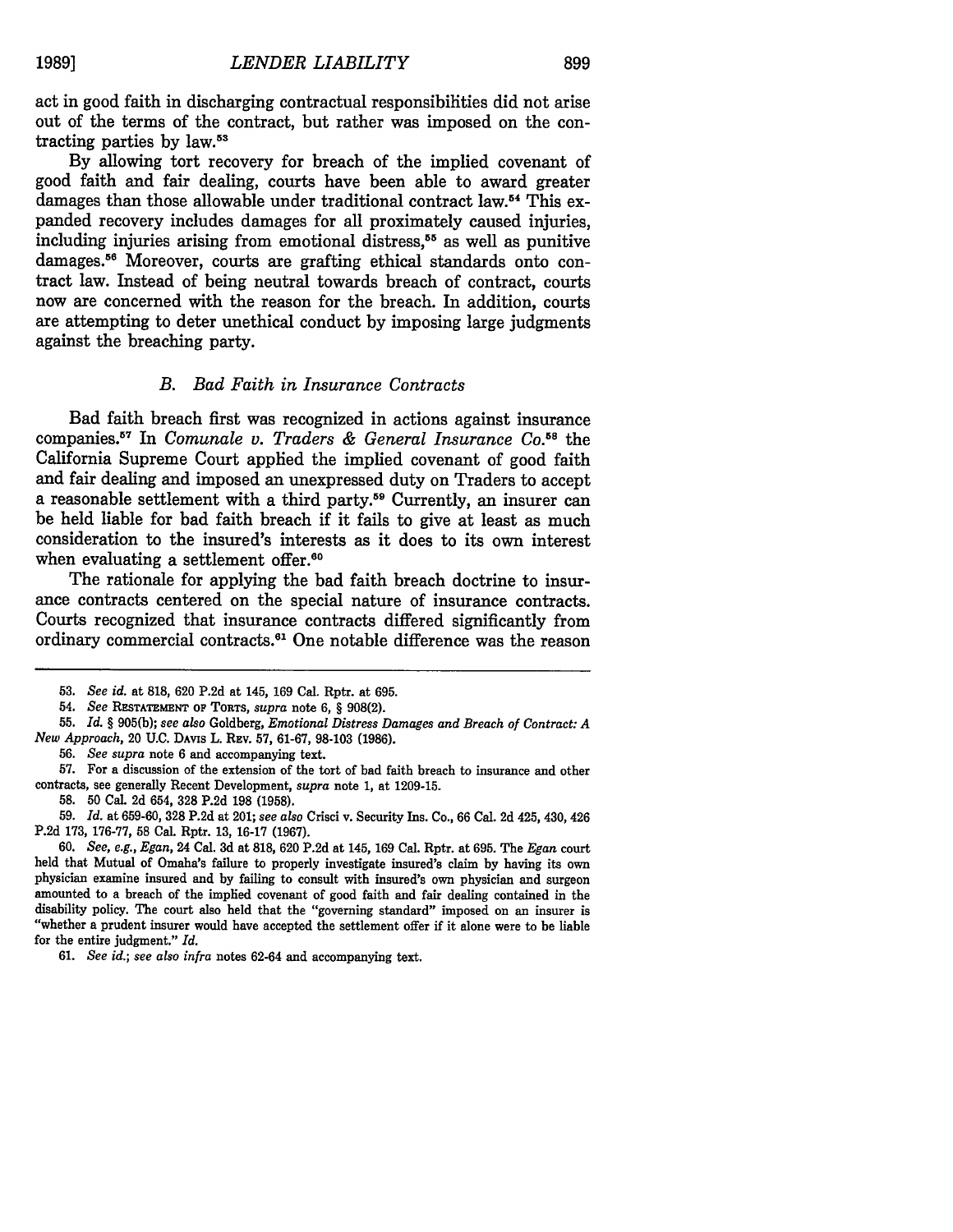act in good faith in discharging contractual responsibilities did not arise out of the terms of the contract, but rather was imposed on the contracting parties by law.<sup>53</sup>

By allowing tort recovery for breach of the implied covenant of good faith and fair dealing, courts have been able to award greater damages than those allowable under traditional contract law.<sup>54</sup> This expanded recovery includes damages for all proximately caused injuries, including injuries arising from emotional distress,<sup>55</sup> as well as punitive damages.<sup>56</sup> Moreover, courts are grafting ethical standards onto contract law. Instead of being neutral towards breach of contract, courts now are concerned with the reason for the breach. In addition, courts are attempting to deter unethical conduct by imposing large judgments against the breaching party.

#### *B. Bad Faith in Insurance Contracts*

Bad faith breach first was recognized in actions against insurance companies.57 In *Comunale v. Traders & General Insurance Co.58* the California Supreme Court applied the implied covenant of good faith and fair dealing and imposed an unexpressed duty on Traders to accept a reasonable settlement with a third party.<sup>59</sup> Currently, an insurer can be held liable for bad faith breach if it fails to give at least as much consideration to the insured's interests as it does to its own interest when evaluating a settlement offer.<sup>60</sup>

The rationale for applying the bad faith breach doctrine to insurance contracts centered on the special nature of insurance contracts. Courts recognized that insurance contracts differed significantly from ordinary commercial contracts.<sup>61</sup> One notable difference was the reason

<sup>53.</sup> *See id.* at 818, 620 P.2d at 145, 169 Cal. Rptr. at 695.

<sup>54.</sup> *See* **RESTATEMENT** OF TORTS, *supra* note 6, § 908(2).

<sup>55.</sup> *Id. §* 905(b); *see also* Goldberg, *Emotional Distress Damages and Breach of Contract: A New Approach,* 20 U.C. **DAVIs** L. REv. 57, 61-67, 98-103 (1986).

<sup>56.</sup> *See supra* note 6 and accompanying text.

**<sup>57.</sup>** For a discussion of the extension of the tort of bad faith breach to insurance and other contracts, see generally Recent Development, *supra* note **1,** at **1209-15.**

**<sup>58. 50</sup>** Cal. **2d** 654, **328 P.2d 198 (1958).**

**<sup>59.</sup>** *Id.* at **659-60, 328 P.2d** at 201; *see also* Crisci v. Security Ins. Co., 66 Cal. **2d** 425, 430, 426 **P.2d 173, 176-77, 58** Cal. Rptr. **13, 16-17 (1967).**

**<sup>60.</sup>** *See, e.g., Egan,* 24 Cal. **3d** at **818, 620 P.2d** at 145, **169** Cal. Rptr. at **695.** The *Egan* court held that Mutual of Omaha's failure to properly investigate insured's claim **by** having its own physician examine insured and **by** failing to consult with insured's own physician and surgeon amounted to a breach of the implied covenant of good faith and fair dealing contained in the disability policy. The court also held that the "governing standard" imposed on an insurer is "whether a prudent insurer would have accepted the settlement offer if it alone were to be liable for the entire judgment." *Id.*

**<sup>61.</sup>** *See id.; see also infra* notes 62-64 and accompanying text.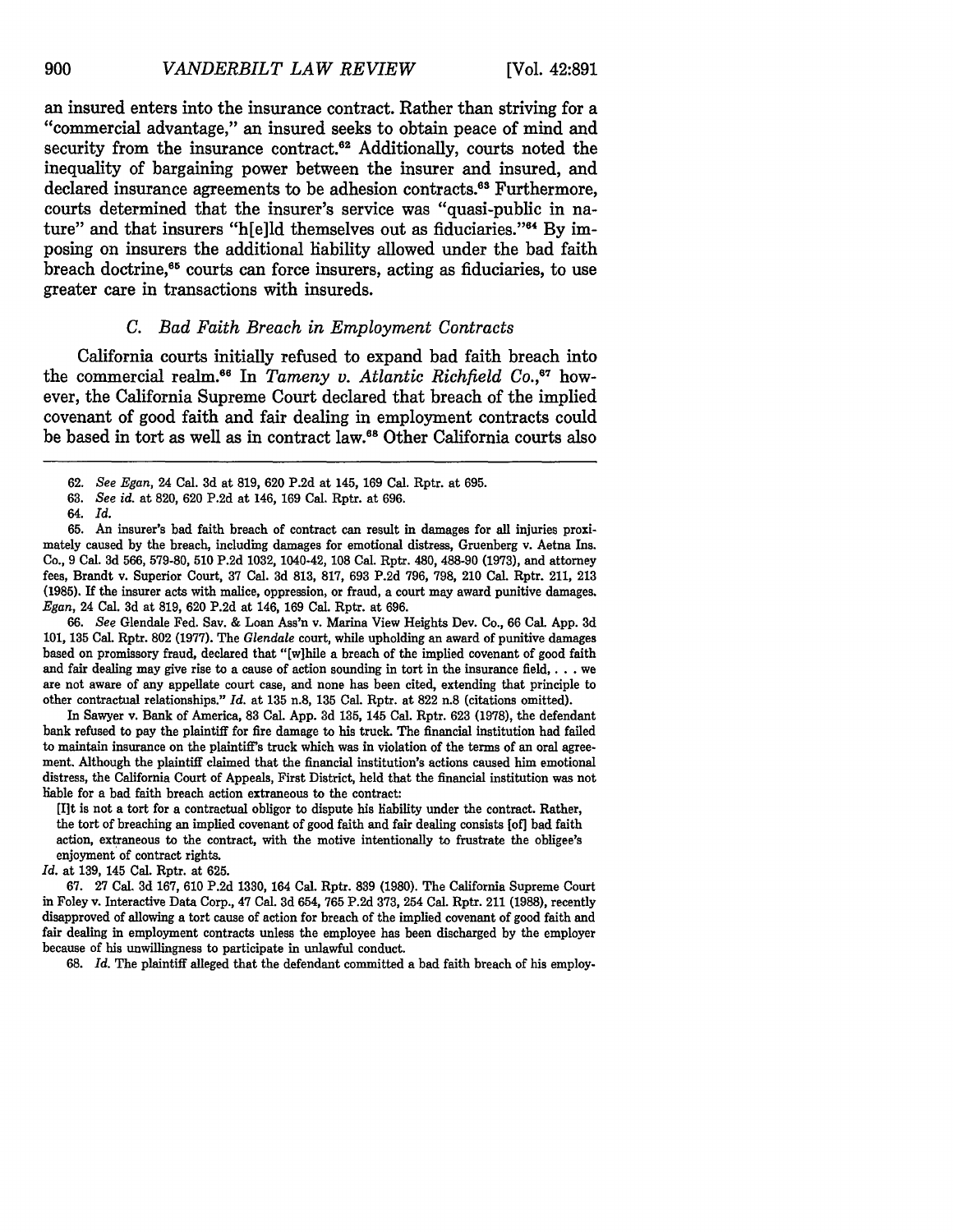an insured enters into the insurance contract. Rather than striving for a "commercial advantage," an insured seeks to obtain peace of mind and security from the insurance contract.<sup>62</sup> Additionally, courts noted the inequality of bargaining power between the insurer and insured, and declared insurance agreements to be adhesion contracts.<sup>63</sup> Furthermore, courts determined that the insurer's service was "quasi-public in nature" and that insurers "h[e]ld themselves out as fiduciaries."<sup>64</sup> By imposing on insurers the additional liability allowed under the bad faith breach doctrine,<sup>65</sup> courts can force insurers, acting as fiduciaries, to use greater care in transactions with insureds.

# *C. Bad Faith Breach in Employment Contracts*

California courts initially refused to expand bad faith breach into the commercial realm.<sup>66</sup> In *Tameny v. Atlantic Richfield Co.*,<sup>67</sup> however, the California Supreme Court declared that breach of the implied covenant of good faith and fair dealing in employment contracts could be based in tort as well as in contract law." Other California courts also

**65.** An insurer's bad faith breach of contract can result in damages for all injuries proximately caused by the breach, including damages for emotional distress, Gruenberg v. Aetna Ins. Co., 9 Cal. **3d** 566, 579-80, 510 P.2d 1032, 1040-42, 108 Cal. Rptr. 480, 488-90 (1973), and attorney fees, Brandt v. Superior Court, 37 Cal. **3d** 813, 817, 693 P.2d 796, 798, 210 Cal. Rptr. 211, 213 (1985). If the insurer acts with malice, oppression, or fraud, a court may award punitive damages. *Egan,* 24 Cal. 3d at 819, 620 P.2d at 146, 169 Cal. Rptr. at 696.

66. *See* Glendale Fed. Sav. & Loan Ass'n v. Marina View Heights Dev. Co., 66 Cal. App. 3d 101, **135** Cal. Rptr. **802** (1977). The *Glendale* court, while upholding an award of punitive damages based on promissory fraud, declared that "[w]hile a breach of the implied covenant of good faith and fair dealing may give rise to a cause of action sounding in tort in the insurance field,  $\dots$  we are not aware of any appellate court case, and none has been cited, extending that principle to other contractual relationships." *Id.* at 135 n.8, **135** Cal. Rptr. at 822 n.8 (citations omitted).

In Sawyer v. Bank of America, 83 Cal. App. **3d** 135, 145 Cal. Rptr. 623 (1978), the defendant bank refused to pay the plaintiff for fire damage to his truck. The financial institution had failed to maintain insurance on the plaintiff's truck which was in violation of the terms of an oral agreement. Although the plaintiff claimed that the financial institution's actions caused him emotional distress, the California Court of Appeals, First District, held that the financial institution was not liable for a bad faith breach action extraneous to the contract:

[I]t is not a tort for a contractual obligor to dispute his liability under the contract. Rather, the tort of breaching an implied covenant of good faith and fair dealing consists [of] bad faith action, extraneous to the contract, with the motive intentionally to frustrate the obligee's enjoyment of contract rights.

*Id.* at 139, 145 Cal. Rptr. at 625.

67. 27 Cal. 3d 167, 610 P.2d 1330, 164 Cal. Rptr. 839 (1980). The California Supreme Court in Foley v. Interactive Data Corp., 47 Cal. 3d 654, 765 P.2d 373, 254 Cal. Rptr. 211 (1988), recently disapproved of allowing a tort cause of action for breach of the implied covenant of good faith and fair dealing in employment contracts unless the employee has been discharged by the employer because of his unwillingness to participate in unlawful conduct.

68. *Id.* The plaintiff alleged that the defendant committed a bad faith breach of his employ-

<sup>62.</sup> *See Egan,* 24 Cal. 3d at 819, 620 P.2d at 145, 169 Cal. Rptr. at 695.

<sup>63.</sup> *See id.* at 820, 620 P.2d at 146, 169 Cal. Rptr. at 696.

<sup>64.</sup> *Id.*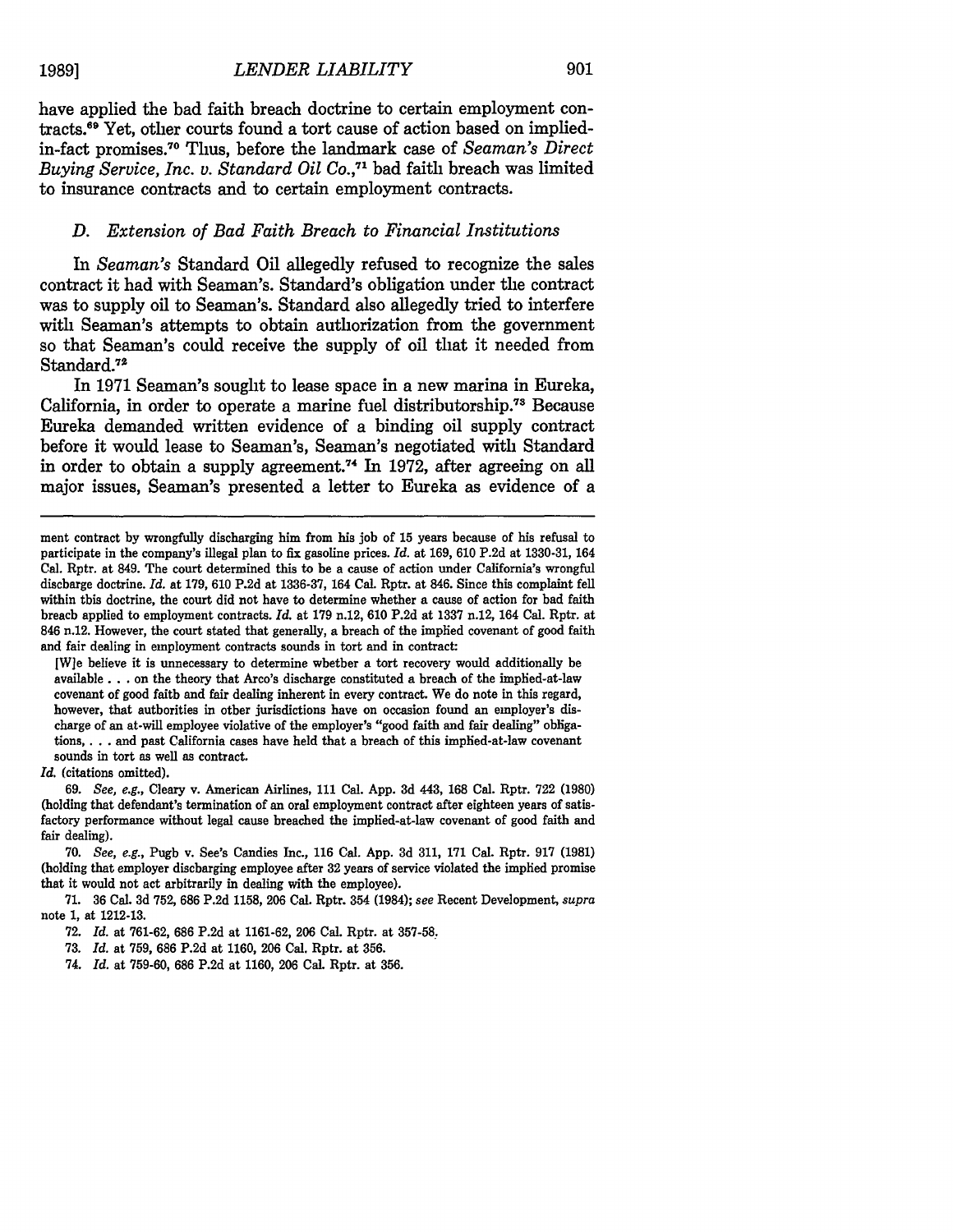have applied the bad faith breach doctrine to certain employment contracts.<sup>69</sup> Yet, other courts found a tort cause of action based on impliedin-fact promises.7 0 Thus, before the landmark case of *Seaman's Direct Buying Service, Inc. v. Standard Oil Co.*<sup>71</sup> bad faith breach was limited to insurance contracts and to certain employment contracts.

#### *D. Extension of Bad Faith Breach to Financial Institutions*

In *Seaman's* Standard **Oil** allegedly refused to recognize the sales contract it had with Seaman's. Standard's obligation under the contract was to supply oil to Seaman's. Standard also allegedly tried to interfere with Seaman's attempts to obtain authorization from the government so that Seaman's could receive the supply of oil that it needed from Standard.<sup>72</sup>

In **1971** Seaman's sought to lease space in a new marina in Eureka, California, in order to operate a marine fuel distributorship.<sup>73</sup> Because Eureka demanded written evidence of a binding oil supply contract before it would lease to Seaman's, Seaman's negotiated with Standard in order to obtain a supply agreement.<sup>74</sup> In 1972, after agreeing on all major issues, Seaman's presented a letter to Eureka as evidence of a

[W]e believe it is unnecessary to determine whether a tort recovery would additionally be available... on the theory that Arco's discharge constituted a breach of the implied-at-law covenant of good faith and fair dealing inherent in every contract. We do note in this regard, however, that authorities in other jurisdictions have on occasion found an employer's discharge of an at-will employee violative of the employer's "good faith and fair dealing" obligations, . **..** and past California cases have held that a breach of this implied-at-law covenant sounds in tort as well as contract.

*Id.* (citations omitted).

69. *See, e.g.,* Cleary v. American Airlines, **111** Cal. App. **3d** 443, 168 Cal. Rptr. 722 (1980) (holding that defendant's termination of an oral employment contract after eighteen years of satisfactory performance without legal cause breached the implied-at-law covenant of good faith and fair dealing).

70. *See, e.g.,* Pugh v. See's Candies Inc., 116 Cal. App. 3d 311, 171 Cal. Rptr. 917 (1981) (holding that employer discharging employee after 32 years of service violated the implied promise that it would not act arbitrarily in dealing with the employee).

71. 36 Cal. 3d 752, 686 P.2d **1158,** 206 Cal. Rptr. 354 (1984); *see* Recent Development, *supra* note 1, at 1212-13.

ment contract by wrongfully discharging him from his **job** of **15** years because of his refusal to participate in the company's illegal plan to fix gasoline prices. *Id.* at 169, 610 P.2d at 1330-31, 164 Cal. Rptr. at 849. The court determined this to be a cause of action under California's wrongful discharge doctrine. Id. at 179, 610 P.2d at 1336-37, 164 Cal. Rptr. at 846. Since this complaint fell within this doctrine, the court did not have to determine whether a cause of action for bad faith breach applied to employment contracts. *Id.* at 179 n.12, 610 P.2d at 1337 n.12, 164 Cal. Rptr. at 846 n.12. However, the court stated that generally, a breach of the implied covenant of good faith and fair dealing in employment contracts sounds in tort and in contract:

<sup>72.</sup> *Id.* at 761-62, 686 P.2d at 1161-62, 206 Cal. Rptr. at 357-58.

**<sup>73.</sup>** *Id.* at 759, 686 P.2d at 1160, 206 Cal. Rptr. at 356.

<sup>74.</sup> *Id.* at 759-60, **686** P.2d at 1160, 206 Cal. Rptr. at 356.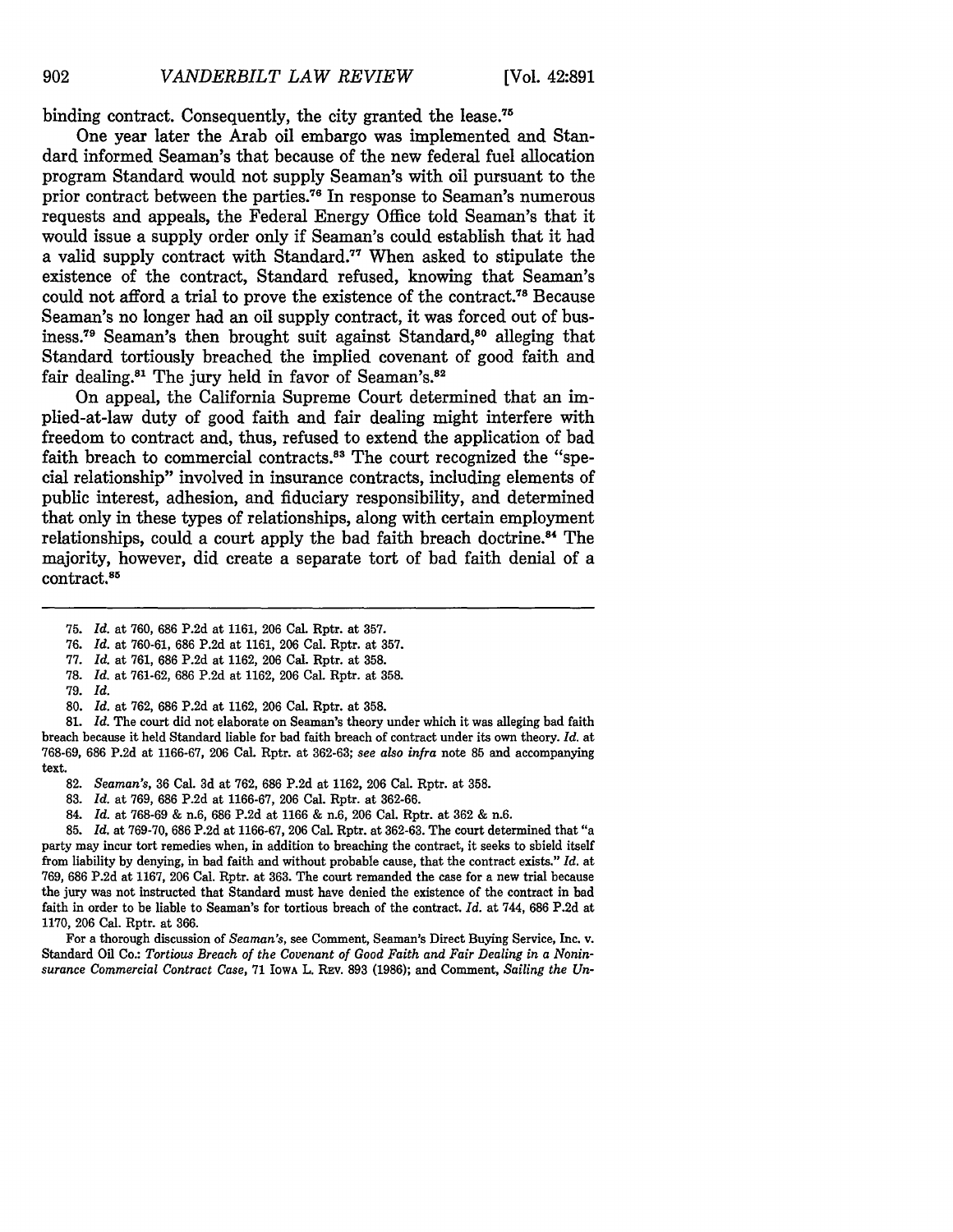binding contract. Consequently, the city granted the lease.<sup>75</sup>

One year later the Arab oil embargo was implemented and Standard informed Seaman's that because of the new federal fuel allocation program Standard would not supply Seaman's with oil pursuant to the prior contract between the parties. 76 In response to Seaman's numerous requests and appeals, the Federal Energy Office told Seaman's that it would issue a supply order only if Seaman's could establish that it had a valid supply contract with Standard.<sup>77</sup> When asked to stipulate the existence of the contract, Standard refused, knowing that Seaman's could not afford a trial to prove the existence of the contract.<sup>78</sup> Because Seaman's no longer had an oil supply contract, it was forced out of business.<sup>79</sup> Seaman's then brought suit against Standard,<sup>80</sup> alleging that Standard tortiously breached the implied covenant of good faith and fair dealing.<sup>81</sup> The jury held in favor of Seaman's.<sup>82</sup>

On appeal, the California Supreme Court determined that an implied-at-law duty of good faith and fair dealing might interfere with freedom to contract and, thus, refused to extend the application of bad faith breach to commercial contracts.<sup>83</sup> The court recognized the "special relationship" involved in insurance contracts, including elements of public interest, adhesion, and fiduciary responsibility, and determined that only in these types of relationships, along with certain employment relationships, could a court apply the bad faith breach doctrine.<sup>84</sup> The majority, however, did create a separate tort of bad faith denial of a contract. 85

- **75.** *Id.* at **760, 686 P.2d** at **1161, 206** Cal. Rptr. at **357.**
- **76.** *Id.* at **760-61, 686 P.2d** at **1161, 206** Cal. Rptr. at **357.**
- **77.** *Id.* at **761, 686 P.2d** at **1162, 206** Cal. Rptr. at **358.**
- **78.** *Id.* at **761-62, 686 P.2d** at **1162, 206** Cal. Rptr. at **358.**
- **79.** *Id.*
- **80.** *Id.* at **762, 686 P.2d** at **1162, 206** Cal. Rptr. at **358.**

**81.** *Id.* The court did not elaborate on Seaman's theory under which it was alleging bad faith breach because it held Standard liable for bad faith breach of contract under its own theory. *Id.* at **768-69, 686 P.2d** at **1166-67, 206** Cal. Rptr. at **362-63;** *see also infra* note **85** and accompanying text.

- **82.** *Seaman's,* **36** Cal. **3d** at **762, 686 P.2d** at **1162, 206** Cal. Rptr. at **358.**
- **83.** *Id.* at **769, 686 P.2d** at **1166-67, 206** Cal. Rptr. at **362-66.**
- 84. *Id.* at **768-69 &** n.6, **686 P.2d** at **1166 &** n.6, **206** Cal. Rptr. at **362 &** n.6.

**85.** *Id.* at **769-70, 686 P.2d** at **1166-67, 206** Cal. Rptr. at **362-63.** The court determined that "a party may incur tort remedies when, in addition to breaching the contract, it seeks to shield itself from liability **by** denying, in bad faith and without probable cause, that the contract exists." *Id.* at **769, 686 P.2d** at **1167, 206** Cal. Rptr. at **363.** The court remanded the case for a new trial because the jury was not instructed that Standard must have denied the existence of the contract in bad faith in order to be liable to Seaman's for tortious breach of the contract. *Id.* at 744, **686 P.2d** at **1170, 206** Cal. Rptr. at **366.**

For a thorough discussion of *Seaman's,* see Comment, Seaman's Direct Buying Service, Inc. v. Standard Oil Co.: *Tortious Breach of the Covenant of Good Faith and Fair Dealing in a Noninsurance Commercial Contract Case,* **71 IOWA** L. **REv. 893 (1986);** and Comment, *Sailing the Un-*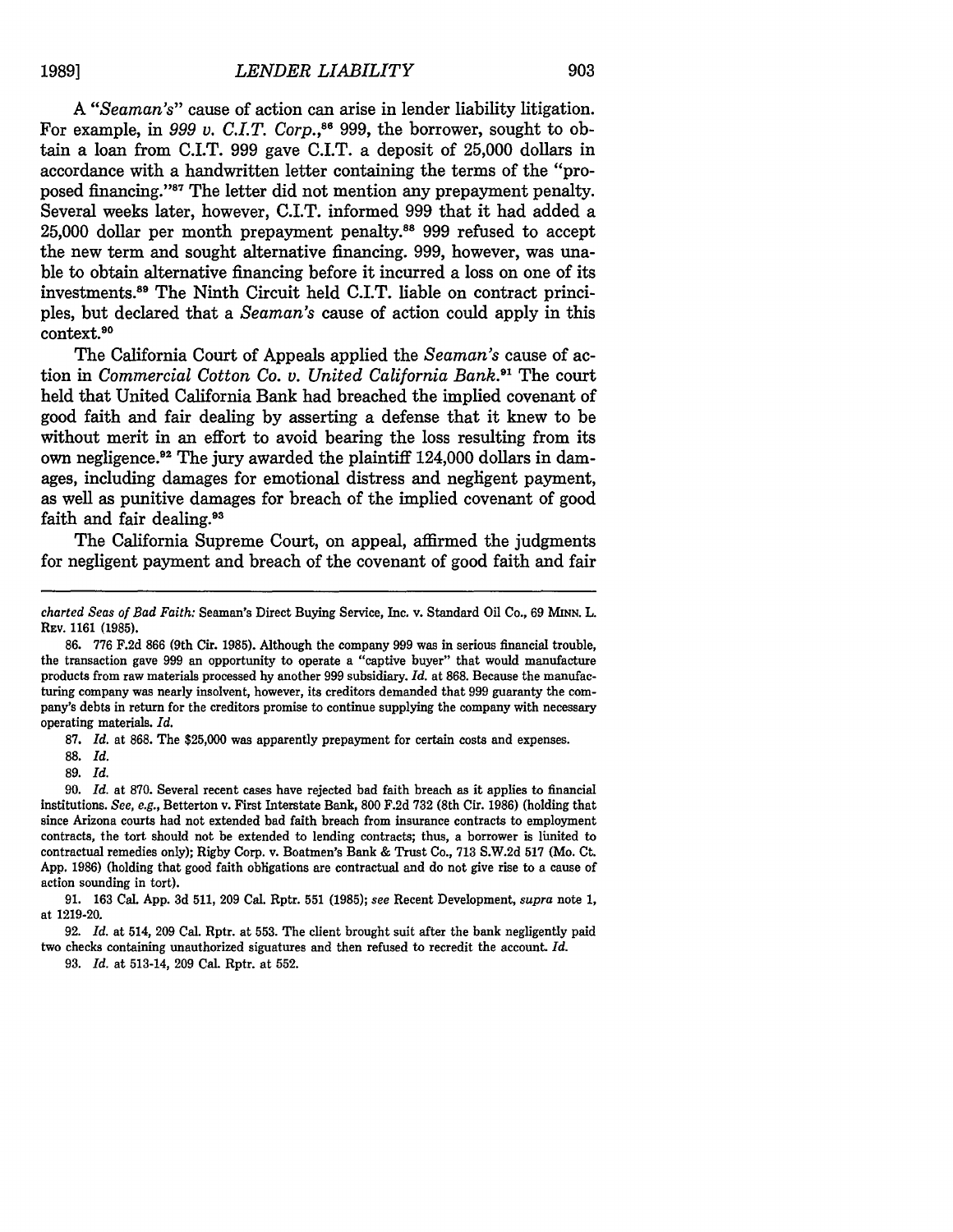*A "Seaman's"* cause of action can arise in lender liability litigation. For example, in 999 v. C.I.T. Corp.,<sup>86</sup> 999, the borrower, sought to obtain a loan from C.I.T. 999 gave C.I.T. a deposit of 25,000 dollars in accordance with a handwritten letter containing the terms of the "proposed financing. 's7 The letter did not mention any prepayment penalty. Several weeks later, however, C.I.T. informed 999 that it had added a 25,000 dollar per month prepayment penalty.88 999 refused to accept the new term and sought alternative financing. 999, however, was unable to obtain alternative financing before it incurred a loss on one of its investments.<sup>89</sup> The Ninth Circuit held C.I.T. liable on contract principles, but declared that a *Seaman's* cause of action could apply in this context.90

The California Court of Appeals applied the *Seaman's* cause of action in *Commercial Cotton Co. v. United California Bank*.<sup>91</sup> The court held that United California Bank had breached the implied covenant of good faith and fair dealing by asserting a defense that it knew to be without merit in an effort to avoid bearing the loss resulting from its own negligence.<sup>92</sup> The jury awarded the plaintiff 124,000 dollars in damages, including damages for emotional distress and negligent payment, as well as punitive damages for breach of the implied covenant of good faith and fair dealing.<sup>93</sup>

The California Supreme Court, on appeal, affirmed the judgments for negligent payment and breach of the covenant of good faith and fair

87. *Id.* at 868. The \$25,000 was apparently prepayment for certain costs and expenses.

89. *Id.*

91. 163 Cal. App. **3d** 511, 209 Cal. Rptr. **551** (1985); *see* Recent Development, *supra* note 1, at 1219-20.

92. *Id.* at 514, 209 Cal. Rptr. at 553. The client brought suit after the bank negligently paid two checks containing unauthorized signatures and then refused to recredit the account. *Id.*

93. *Id.* at 513-14, 209 Cal. Rptr. at 552.

*charted Seas of Bad Faith:* Seaman's Direct Buying Service, Inc. v. Standard Oil Co., 69 **MINN.** L. REV. 1161 (1985).

<sup>86. 776</sup> F.2d 866 (9th Cir. 1985). Although the company 999 was in serious financial trouble, the transaction gave 999 an opportunity to operate a "captive buyer" that would manufacture products from raw materials processed by another 999 subsidiary. *Id.* at 868. Because the manufacturing company was nearly insolvent, however, its creditors demanded that 999 guaranty the company's debts in return for the creditors promise to continue supplying the company with necessary operating materials. *Id.*

<sup>88.</sup> *Id.*

<sup>90.</sup> *Id.* at 870. Several recent cases have rejected bad faith breach as it applies to financial institutions. *See, e.g.,* Betterton v. First Interstate Bank, 800 F.2d 732 (8th Cir. 1986) (holding that since Arizona courts had not extended bad faith breach from insurance contracts to employment contracts, the tort should not be extended to lending contracts; thus, a borrower is limited to contractual remedies only); Rigby Corp. v. Boatmen's Bank & Trust Co., 713 S.W.2d 517 (Mo. Ct. App. 1986) (holding that good faith obligations are contractual and do not give rise to a cause of action sounding in tort).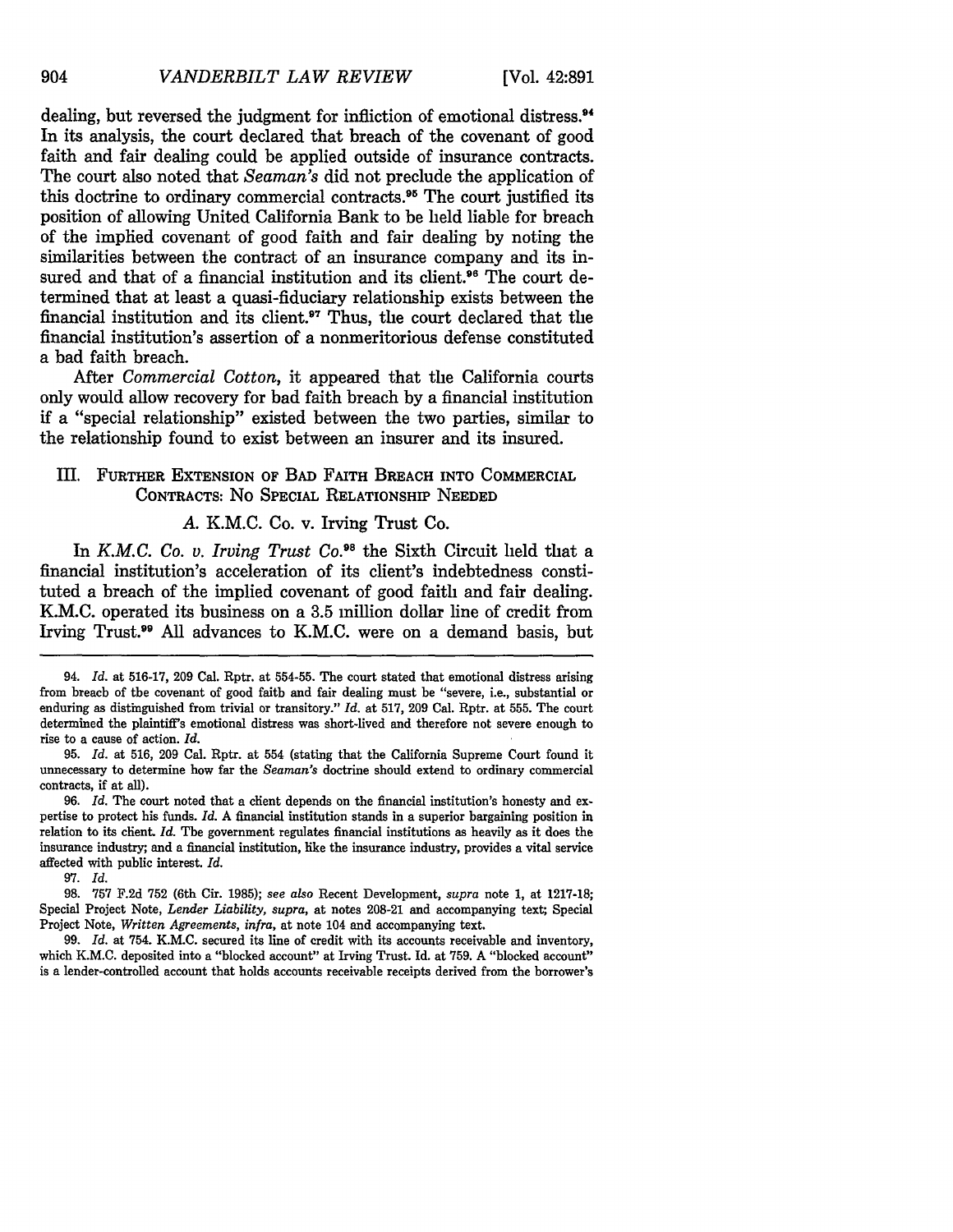dealing, but reversed the judgment for infliction of emotional distress.<sup>94</sup> In its analysis, the court declared that breach of the covenant of good faith and fair dealing could be applied outside of insurance contracts. The court also noted that *Seaman's* did not preclude the application of this doctrine to ordinary commercial contracts.<sup>95</sup> The court justified its position of allowing United California Bank to be held liable for breach of the implied covenant of good faith and fair dealing **by** noting the similarities between the contract of an insurance company and its insured and that of a financial institution and its client.<sup>96</sup> The court determined that at least a quasi-fiduciary relationship exists between the financial institution and its client.<sup>97</sup> Thus, the court declared that the financial institution's assertion of a nonmeritorious defense constituted a bad faith breach.

After *Commercial Cotton,* it appeared that the California courts only would allow recovery for bad faith breach **by** a financial institution if a "special relationship" existed between the two parties, similar to the relationship found to exist between an insurer and its insured.

# III. FURTHER **EXTENSION** OF BAD FAITH BREACH INTO COMMERCIAL **CONTRACTS:** No SPECIAL RELATIONSHIP **NEEDED**

# *A.* K.M.C. Co. v. Irving Trust Co.

In *K.M.C. Co. v. Irving Trust Co.*<sup>98</sup> the Sixth Circuit held that a financial institution's acceleration of its client's indebtedness constituted a breach of the implied covenant of good faith and fair dealing. K.M.C. operated its business on a **3.5** million dollar line of credit from Irving Trust.<sup>99</sup> All advances to K.M.C. were on a demand basis, but

**97.** *Id.*

<sup>94.</sup> *Id.* at **516-17, 209** Cal. Rptr. at **554-55.** The court stated that emotional distress arising from breach of the covenant of good faith and fair dealing must be "severe, i.e., substantial or enduring as distinguished from trivial or transitory." *Id.* at **517, 209** Cal. Rptr. at **555.** The court determined the plaintiff's emotional distress was short-lived and therefore not severe enough to rise to a cause of action. *Id.*

**<sup>95.</sup>** *Id.* at **516, 209** Cal. Rptr. at 554 (stating that the California Supreme Court found it unnecessary to determine how far the *Seaman's* doctrine should extend to ordinary commercial contracts, if at all).

<sup>96.</sup> *Id.* The court noted that a client depends on the financial institution's honesty and expertise to protect his funds. *Id.* **A** financial institution stands in a superior bargaining position in relation to its client. *Id.* The government regulates financial institutions as heavily as it does the insurance industry; and a financial institution, like the insurance industry, provides a vital service affected with public interest. *Id.*

**<sup>98. 757</sup> F.2d 752** (6th Cir. **1985);** *see also* Recent Development, *supra* note **1,** at **1217-18;** Special Project Note, *Lender Liability, supra,* at notes **208-21** and accompanying text; Special Project Note, *Written Agreements, infra,* at note 104 and accompanying text.

**<sup>99.</sup>** *Id.* at 754. K.M.C. secured its line of credit with its accounts receivable and inventory, which **K.M.C.** deposited into a "blocked account" at Irving Trust. Id. at **759. A** "blocked account" is a lender-controlled account that holds accounts receivable receipts derived from the borrower's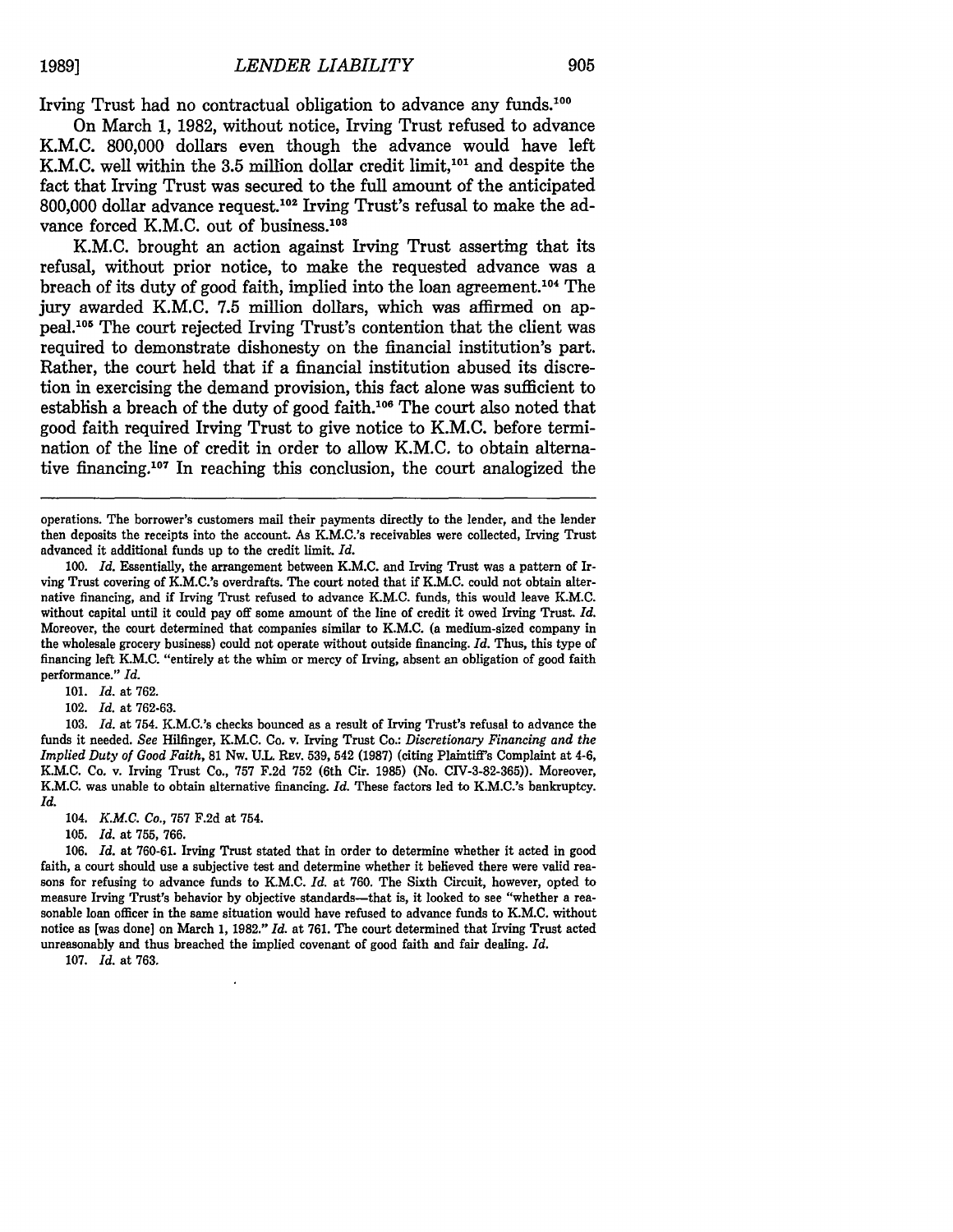Irving Trust had no contractual obligation to advance any funds.100

On March **1, 1982,** without notice, Irving Trust refused to advance K.M.C. **800,000** dollars even though the advance would have left K.M.C. well within the 3.5 million dollar credit limit,<sup>101</sup> and despite the fact that Irving Trust was secured to the full amount of the anticipated **800,000** dollar advance request.102 Irving Trust's refusal to make the advance forced K.M.C. out of business. $108$ 

K.M.C. brought an action against Irving Trust asserting that its refusal, without prior notice, to make the requested advance was a breach of its duty of good faith, implied into the loan agreement.<sup>104</sup> The jury awarded K.M.C. **7.5** million dollars, which was affirmed on appeal.<sup>105</sup> The court rejected Irving Trust's contention that the client was required to demonstrate dishonesty on the financial institution's part. Rather, the court held that if a financial institution abused its discretion in exercising the demand provision, this fact alone was sufficient to establish a breach of the duty of good faith.<sup>106</sup> The court also noted that good faith required Irving Trust to give notice to K.M.C. before termination of the line of credit in order to allow K.M.C. to obtain alternative financing.<sup>107</sup> In reaching this conclusion, the court analogized the

operations. The borrower's customers mail their payments directly to the lender, and the lender then deposits the receipts into the account. As K.M.C.'s receivables were collected, Irving Trust advanced it additional funds up to the credit limit. *Id.*

**101.** *Id.* at **762.**

102. *Id.* at **762-63.**

**103.** *Id.* at 754. K.M.C.'s checks bounced as a result of Irving Trust's refusal to advance the funds it needed. *See* Hilfinger, K.M.C. Co. v. Irving Trust Co.: *Discretionary Financing and the Implied Duty of Good Faith,* **81** Nw. **U.L. REv. 539,** 542 **(1987)** (citing Plaintiff's Complaint at 4-6, K.M.C. Co. v. Irving Trust Co., **757 F.2d 752** (6th Cir. **1985)** (No. **CIV-3-82-365)).** Moreover, K.M.C. was unable **to** obtain alternative financing. *Id.* These factors led to K.M.C.'s bankruptcy. *Id.*

104. *K.M.C. Co.,* **757 F.2d** at 754.

**105.** *Id.* at **755, 766.**

**106.** *Id.* at **760-61.** Irving Trust stated that in order to determine whether it acted in good faith, a court should use a subjective test and determine whether it believed there were valid reasons for refusing to advance funds to K.M.C. *Id.* at 760. The Sixth Circuit, however, opted to measure Irving Trust's behavior by objective standards--that is, it looked to see "whether a reasonable loan officer in the same situation would have refused to advance funds to K.M.C. without notice as [was done] on March 1, 1982." *Id.* at 761. The court determined that Irving Trust acted unreasonably and thus breached the implied covenant of good faith and fair dealing. *Id.*

107. *Id.* at 763.

**<sup>100.</sup>** *Id.* Essentially, the arrangement between K.M.C. and Irving Trust was a pattern of Irving Trust covering of K.M.C.'s overdrafts. The court noted that **if** K.M.C. could not obtain alternative financing, and if Irving Trust refused to advance K.M.C. funds, this would leave K.M.C. without capital until it could pay off some amount of the line of credit it owed Irving Trust. *Id.* Moreover, the court determined that companies similar to K.M.C. (a medium-sized company in the wholesale grocery business) could not operate without outside financing. *Id.* Thus, this type of financing left K.M.C. "entirely at the whim or mercy of Irving, absent an obligation of good faith performance." *Id.*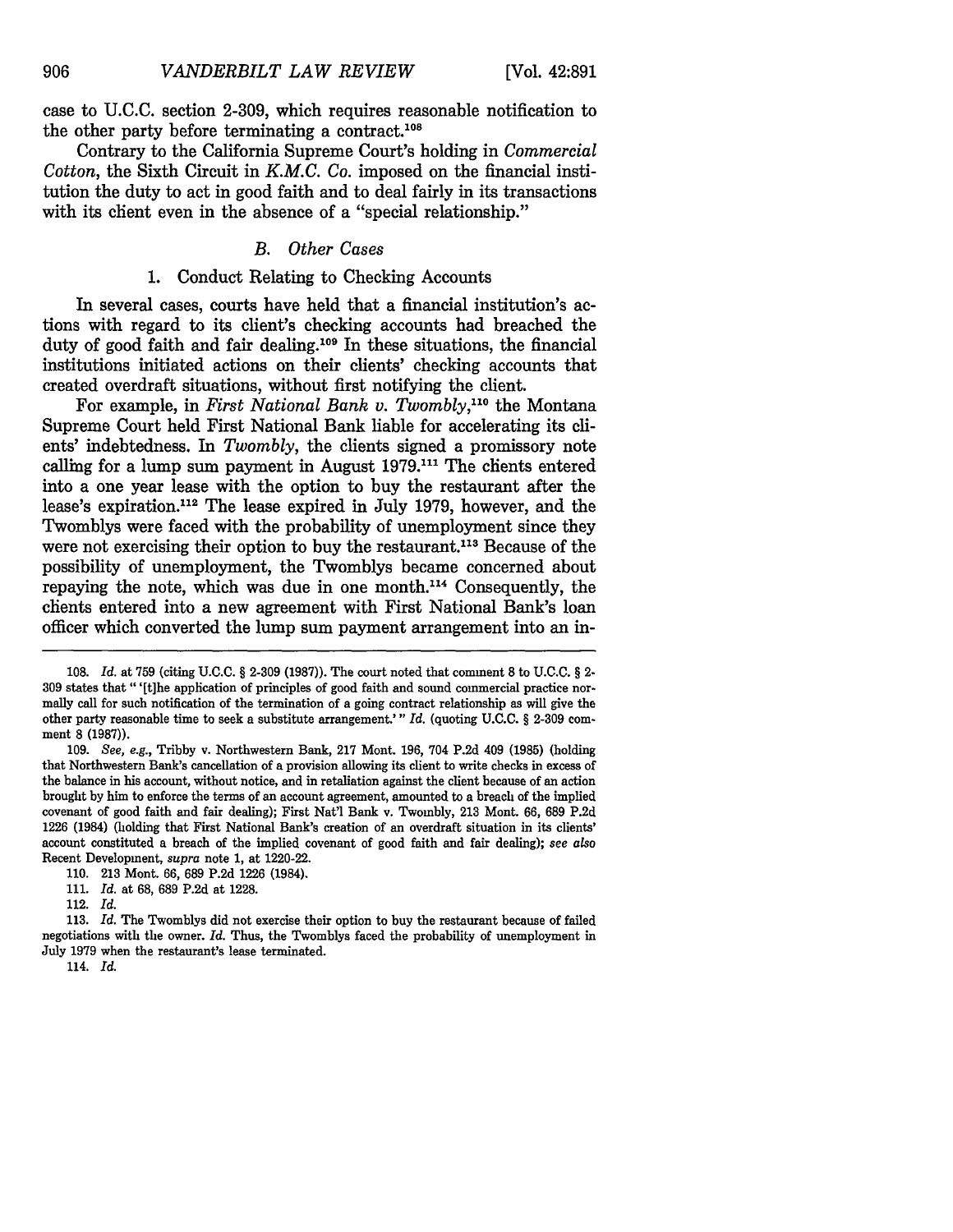case to **U.C.C.** section 2-309, which requires reasonable notification to the other party before terminating a contract.<sup>108</sup>

Contrary to the California Supreme Court's holding in *Commercial Cotton,* the Sixth Circuit in *K.M.C. Co.* imposed on the financial institution the duty to act in good faith and to deal fairly in its transactions with its chent even in the absence of a "special relationship."

## *B. Other Cases*

# 1. Conduct Relating to Checking Accounts

In several cases, courts have held that a financial institution's actions with regard to its client's checking accounts had breached the duty of good faith and fair dealing.<sup>109</sup> In these situations, the financial institutions initiated actions on their clients' checking accounts that created overdraft situations, without first notifying the client.

For example, in *First National Bank v. Twombly*,<sup>110</sup> the Montana Supreme Court held First National Bank liable for accelerating its clients' indebtedness. In *Twombly,* the clients signed a promissory note calling for a lump sum payment in August 1979.<sup>111</sup> The clients entered into a one year lease with the option to buy the restaurant after the lease's expiration.<sup>112</sup> The lease expired in July 1979, however, and the Twomblys were faced with the probability of unemployment since they were not exercising their option to buy the restaurant.<sup>113</sup> Because of the possibility of unemployment, the Twomblys became concerned about repaying the note, which was due in one month.<sup>114</sup> Consequently, the chents entered into a new agreement with First National Bank's loan officer which converted the lump sum payment arrangement into an in-

<sup>108.</sup> *Id.* at 759 (citing U.C.C. § 2-309 (1987)). The court noted that comment **8** to U.C.C. § 2- **309** states that "'[t]he application of principles of good faith and sound commercial practice normally call for such notification of the termination of a going contract relationship as will give the other party reasonable time to seek a substitute arrangement.'" *Id.* (quoting U.C.C. § 2-309 comment **8** (1987)).

<sup>109.</sup> *See, e.g.,* Tribby v. Northwestern Bank, 217 Mont. 196, 704 P.2d 409 (1985) (holding that Northwestern Bank's cancellation of a provision allowing its client to write checks in excess of the balance in his account, without notice, and in retaliation against the client because of an action brought by him to enforce the terms of an account agreement, amounted to a breach of the implied covenant of good faith and fair dealing); First Nat'l Bank v. Twombly, 213 Mont. 66, **689** P.2d 1226 (1984) (holding that First National Bank's creation of an overdraft situation in its clients' account constituted a breach of the implied covenant of good faith and fair dealing); *see also* Recent Development, *supra* note 1, at 1220-22.

<sup>110. 213</sup> Mont. 66, 689 P.2d 1226 (1984).

<sup>111.</sup> *Id.* at **68,** 689 P.2d at 1228.

<sup>112.</sup> *Id.*

<sup>113.</sup> *Id.* The Twomblys did not exercise their option to buy the restaurant because of failed negotiations with the owner. *Id.* Thus, the Twomblys faced the probability of unemployment in July 1979 when the restaurant's lease terminated.

<sup>114.</sup> *Id.*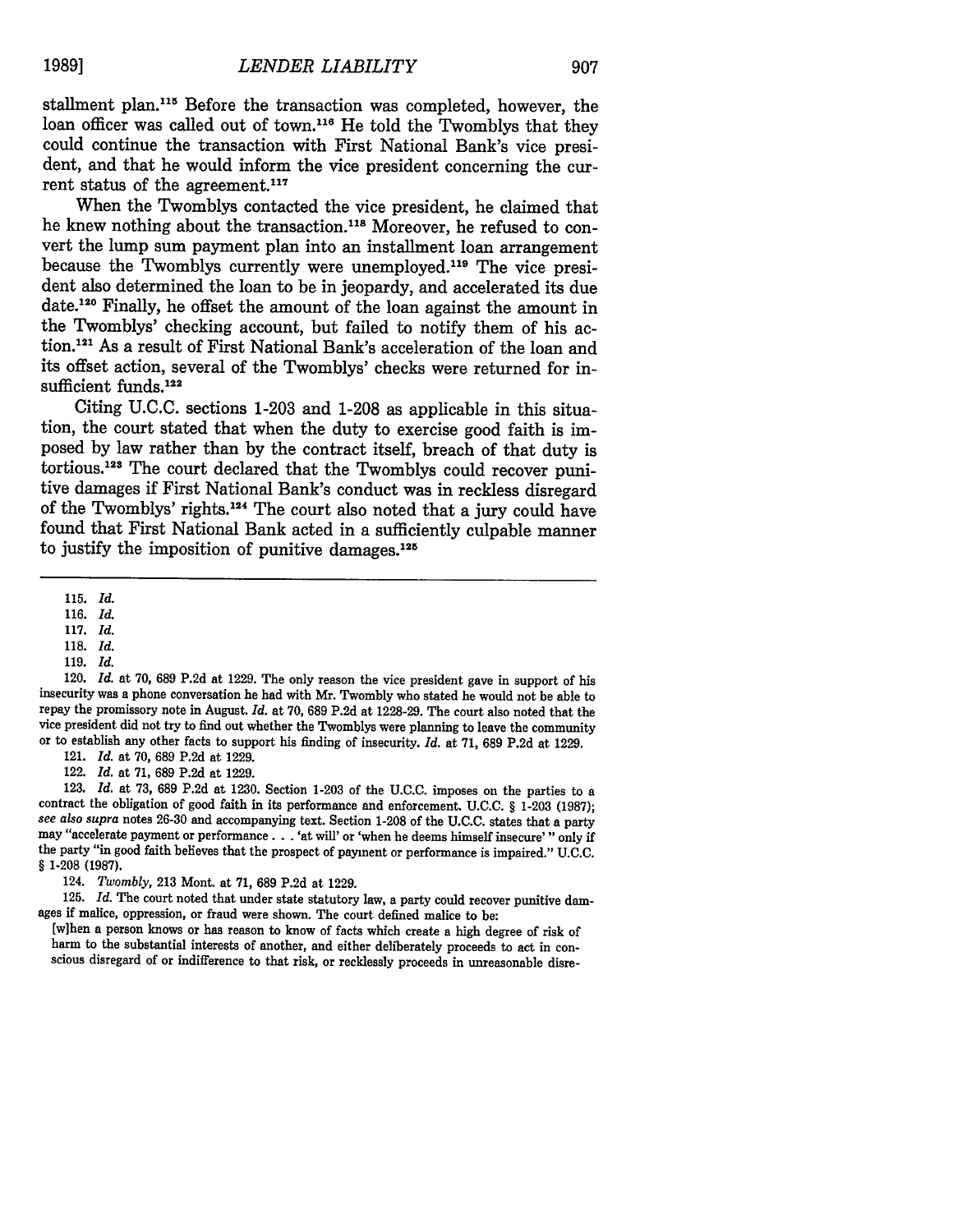stallment plan.<sup>115</sup> Before the transaction was completed, however, the loan officer was called out of town.<sup>116</sup> He told the Twomblys that they could continue the transaction with First National Bank's vice president, and that he would inform the vice president concerning the current status of the agreement.<sup>117</sup>

When the Twomblys contacted the vice president, he claimed that he knew nothing about the transaction.<sup>118</sup> Moreover, he refused to convert the lump sum payment plan into an installment loan arrangement because the Twomblys currently were unemployed.<sup>119</sup> The vice president also determined the loan to be in jeopardy, and accelerated its due date.120 Finally, he offset the amount of the loan against the amount in the Twomblys' checking account, but failed to notify them of his action.<sup>121</sup> As a result of First National Bank's acceleration of the loan and its offset action, several of the Twomblys' checks were returned for insufficient funds.<sup>122</sup>

Citing U.C.C. sections 1-203 and 1-208 as applicable in this situation, the court stated that when the duty to exercise good faith is imposed by law rather than by the contract itself, breach of that duty is tortious.<sup>123</sup> The court declared that the Twomblys could recover punitive damages if First National Bank's conduct was in reckless disregard of the Twomblys' rights.<sup>124</sup> The court also noted that a jury could have found that First National Bank acted in a sufficiently culpable manner to justify the imposition of punitive damages. $125$ 

116. *Id.*

118. *Id.*

120. *Id.* at **70,** 689 **P.2d** at 1229. The only reason the vice president gave in support of his insecurity was a phone conversation he had with Mr. Twombly who stated he would not be able to repay the promissory note in August. *Id.* at 70, 689 P.2d at 1228-29. The court also noted that the vice president did not try to find out whether the Twomblys were planning to leave the community or to establish any other facts to support his finding of insecurity. *Id.* at **71, 689 P.2d** at **1229.**

121. *Id.* at **70, 689 P.2d** at **1229.**

122. *Id.* at **71, 689 P.2d** at **1229.**

123. Id. at 73, 689 P.2d at 1230. Section 1-203 of the U.C.C. imposes on the parties to a contract the obligation of good faith in its performance and enforcement. U.C.C. § 1-203 (1987): see *also supra* notes 26-30 and accompanying text. Section **1-208** of the **U.C.C.** states that a party may "accelerate payment or performance. **.** . 'at will' or 'when he deems himself insecure'" only if the party "in good faith believes that the prospect of payment or performance is impaired." U.C.C. *§* 1-208 **(1987).**

124. *Twombly,* 213 Mont. at 71, 689 P.2d at 1229.

125. *Id.* The court noted that under state statutory law, a party could recover punitive damages if malice, oppression, or fraud were shown. The court defined malice to be:

[w]hen a person knows or has reason to know of facts which create a high degree of risk of harm to the substantial interests of another, and either deliberately proceeds to act in con-<br>scious disregard of or indifference to that risk, or recklessly proceeds in unreasonable disre-

<sup>115.</sup> *Id.*

<sup>117.</sup> *Id.*

<sup>119.</sup> *Id.*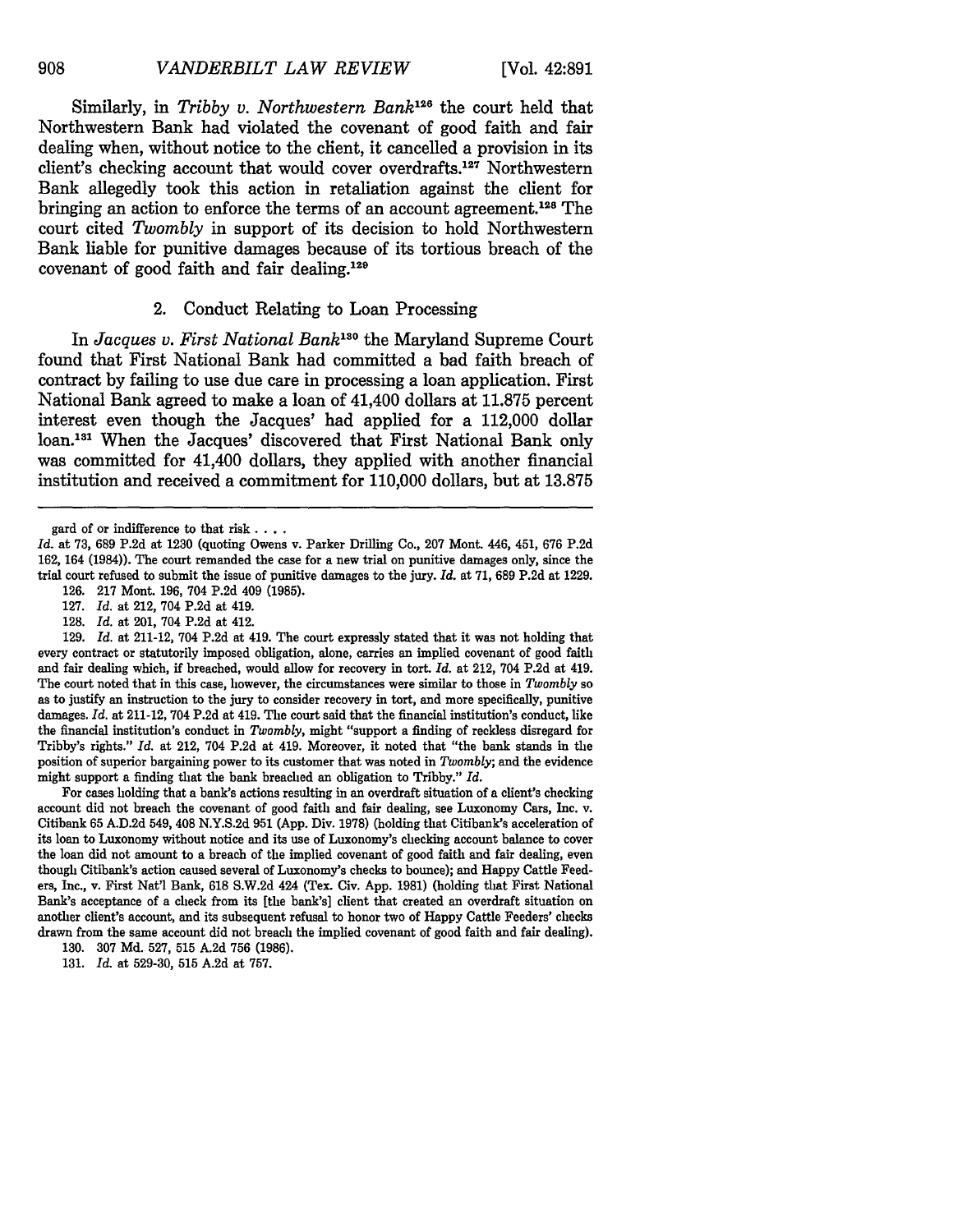Similarly, in *Tribby v. Northwestern Bank*<sup>126</sup> the court held that Northwestern Bank had violated the covenant of good faith and fair dealing when, without notice to the client, it cancelled a provision in its client's checking account that would cover overdrafts.<sup>127</sup> Northwestern Bank allegedly took this action in retaliation against the client for bringing an action to enforce the terms of an account agreement.<sup>128</sup> The court cited *Twombly* in support of its decision to hold Northwestern Bank liable for punitive damages because of its tortious breach of the covenant of good faith and fair dealing. $129$ 

### 2. Conduct Relating to Loan Processing

In *Jacques v. First National Bank*<sup>130</sup> the Maryland Supreme Court found that First National Bank had committed a bad faith breach of contract **by** failing to use due care in processing a loan application. First National Bank agreed to make a loan of 41,400 dollars at **11.875** percent interest even though the Jacques' had applied for a 112,000 dollar loan.<sup>131</sup> When the Jacques' discovered that First National Bank only was committed for 41,400 dollars, they applied with another financial institution and received a commitment for **110,000** dollars, but at **13.875**

128. *Id.* at 201, 704 P.2d at 412.

129. *Id.* at 211-12, 704 P.2d at 419. The court expressly stated that it was not holding that every contract or statutorily imposed obligation, alone, carries an implied covenant of good faith and fair dealing which, if breached, would allow for recovery in tort. *Id.* at 212, 704 P.2d at 419. The court noted that in this case, however, the circumstances were similar to those in *Twombly* so as to justify an instruction to the jury to consider recovery in tort, and more specifically, punitive damages. *Id.* at 211-12, 704 P.2d at 419. The court said that the financial institution's conduct, like the financial institution's conduct in *Twombly,* might "support a finding of reckless disregard for Tribby's rights." *Id.* at 212, 704 P.2d at 419. Moreover, it noted that "the bank stands in the position of superior bargaining power to its customer that was noted in *Twombly;* and the evidence might support a finding that the bank breached an obligation to Tribby." *Id.*

For cases holding that a bank's actions resulting in an overdraft situation of a client's checking account did not breach the covenant of good faith and fair dealing, see Luxonomy Cars, Inc. v. Citibank 65 A.D.2d 549, 408 N.Y.S.2d 951 (App. Div. 1978) (holding that Citibank's acceleration of its loan to Luxonomy without notice and its use of Luxonomy's checking account balance to cover the loan did not amount to a breach of the implied covenant of good faith and fair dealing, even though Citibank's action caused several of Luxonomy's checks to bounce); and Happy Cattle Feeders, Inc., v. First Nat'l Bank, 618 S.W.2d 424 (Tex. Civ. App. 1981) (holding that First National Bank's acceptance of a check from its [the bank's] client that created an overdraft situation on another client's account, and its subsequent refusal to honor two of Happy Cattle Feeders' checks drawn from the same account did not breach the implied covenant of good faith and fair dealing).

130. **307** Md. 527, 515 A.2d 756 (1986).

131. *Id.* at 529-30, 515 A.2d at 757.

gard of or indifference to that risk **....**

*Id.* at 73, **689** P.2d at 1230 (quoting Owens v. Parker Drilling Co., 207 Mont. 446, 451, 676 P.2d 162, 164 (1984)). The court remanded the case for a new trial on punitive damages only, since the trial court refused to submit the issue of punitive damages to the jury. *Id.* at 71, 689 P.2d at 1229.

<sup>126.</sup> **217** Mont. 196, 704 P.2d 409 (1985). 127. *Id.* at 212, 704 P.2d at 419.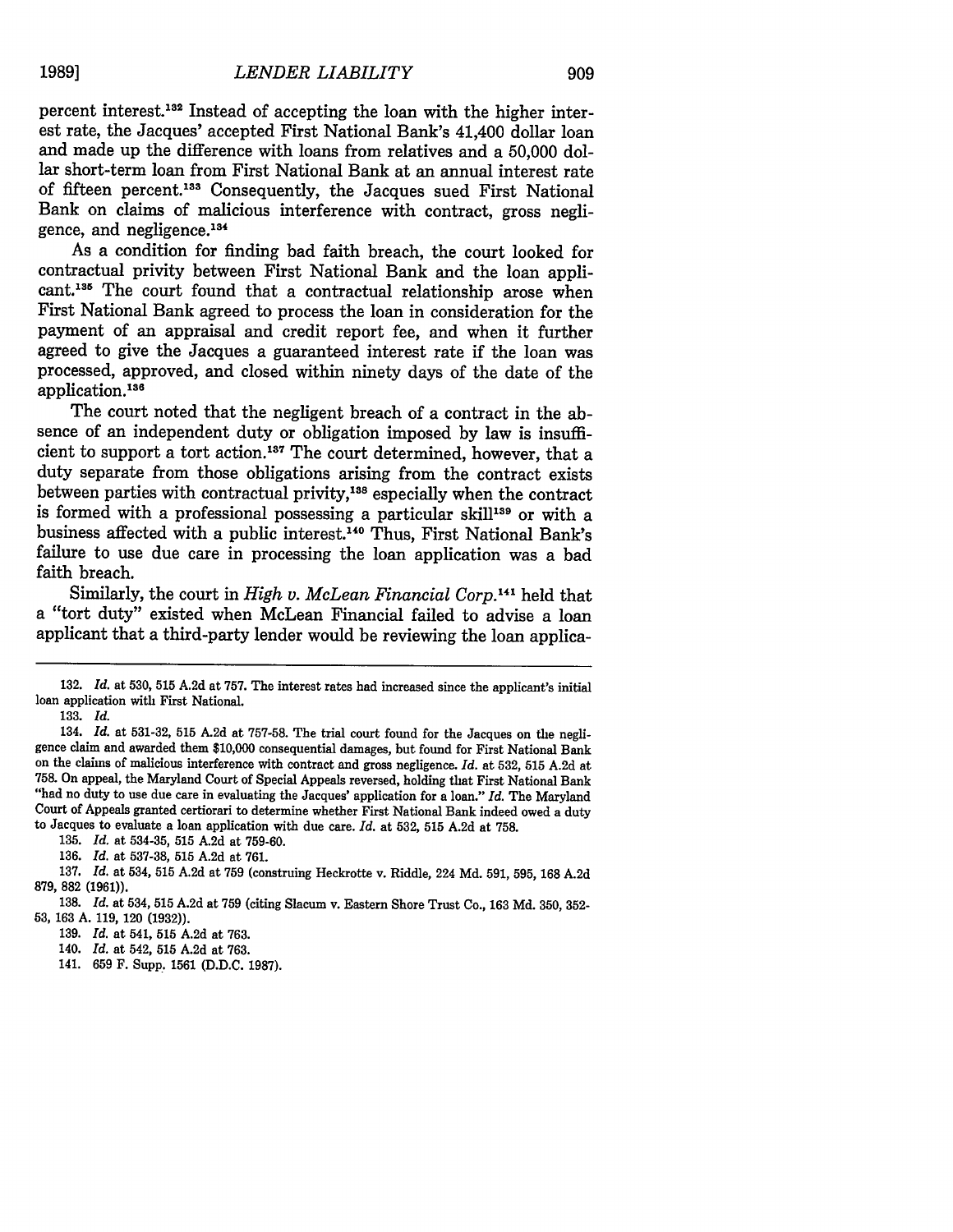909

percent interest.<sup>182</sup> Instead of accepting the loan with the higher interest rate, the Jacques' accepted First National Bank's 41,400 dollar loan and made up the difference with loans from relatives and a 50,000 dollar short-term loan from First National Bank at an annual interest rate of fifteen percent.138 Consequently, the Jacques sued First National Bank on claims of malicious interference with contract, gross negligence, and negligence.<sup>134</sup>

As a condition for finding bad faith breach, the court looked for contractual privity between First National Bank and the loan applicant.<sup>135</sup> The court found that a contractual relationship arose when First National Bank agreed to process the loan in consideration for the payment of an appraisal and credit report fee, and when it further agreed to give the Jacques a guaranteed interest rate if the loan was processed, approved, and closed within ninety days of the date of the application.138

The court noted that the negligent breach of a contract in the absence of an independent duty or obligation imposed by law is insufficient to support a tort action.<sup>187</sup> The court determined, however, that a duty separate from those obligations arising from the contract exists between parties with contractual privity,<sup>138</sup> especially when the contract is formed with a professional possessing a particular skill<sup>139</sup> or with a business affected with a public interest.<sup>140</sup> Thus, First National Bank's failure to use due care in processing the loan application was a bad faith breach.

Similarly, the court in *High v. McLean Financial Corp*.<sup>141</sup> held that a "tort duty" existed when McLean Financial failed to advise a loan applicant that a third-party lender would be reviewing the loan applica-

<sup>132.</sup> *Id.* at **530, 515** A.2d at 757. The interest rates had increased since the applicant's initial loan application with First National.

<sup>133.</sup> *Id.*

<sup>134.</sup> *Id.* at 531-32, **515** A.2d at 757-58. The trial court found for the Jacques on the negligence claim and awarded them \$10,000 consequential damages, but found for First National Bank on the claims of malicious interference with contract and gross negligence. *Id.* at 532, 515 A.2d at 758. On appeal, the Maryland Court of Special Appeals reversed, holding that First National Bank "had no duty to use due care in evaluating the Jacques' application for a loan." *Id.* The Maryland Court of Appeals granted certiorari to determine whether First National Bank indeed owed a duty to Jacques to evaluate a loan application with due care. *Id.* at 532, 515 A.2d at 758.

<sup>135.</sup> *Id.* at 534-35, 515 A.2d at 759-60.

<sup>136.</sup> *Id.* at 537-38, 515 A.2d at 761.

<sup>137.</sup> *Id.* at 534, 515 A.2d at 759 (construing Heckrotte v. Riddle, 224 Md. 591, 595, 168 A.2d 879, 882 (1961)).

<sup>138.</sup> *Id.* at 534, 515 A.2d at 759 (citing Slacum v. Eastern Shore Trust Co., 163 Md. 350, 352- **53,** 163 A. 119, 120 (1932)).

<sup>139.</sup> *Id.* at 541, 515 A.2d at 763.

<sup>140.</sup> *Id.* at 542, 515 A.2d at 763.

<sup>141. 659</sup> F. Supp. 1561 (D.D.C. 1987).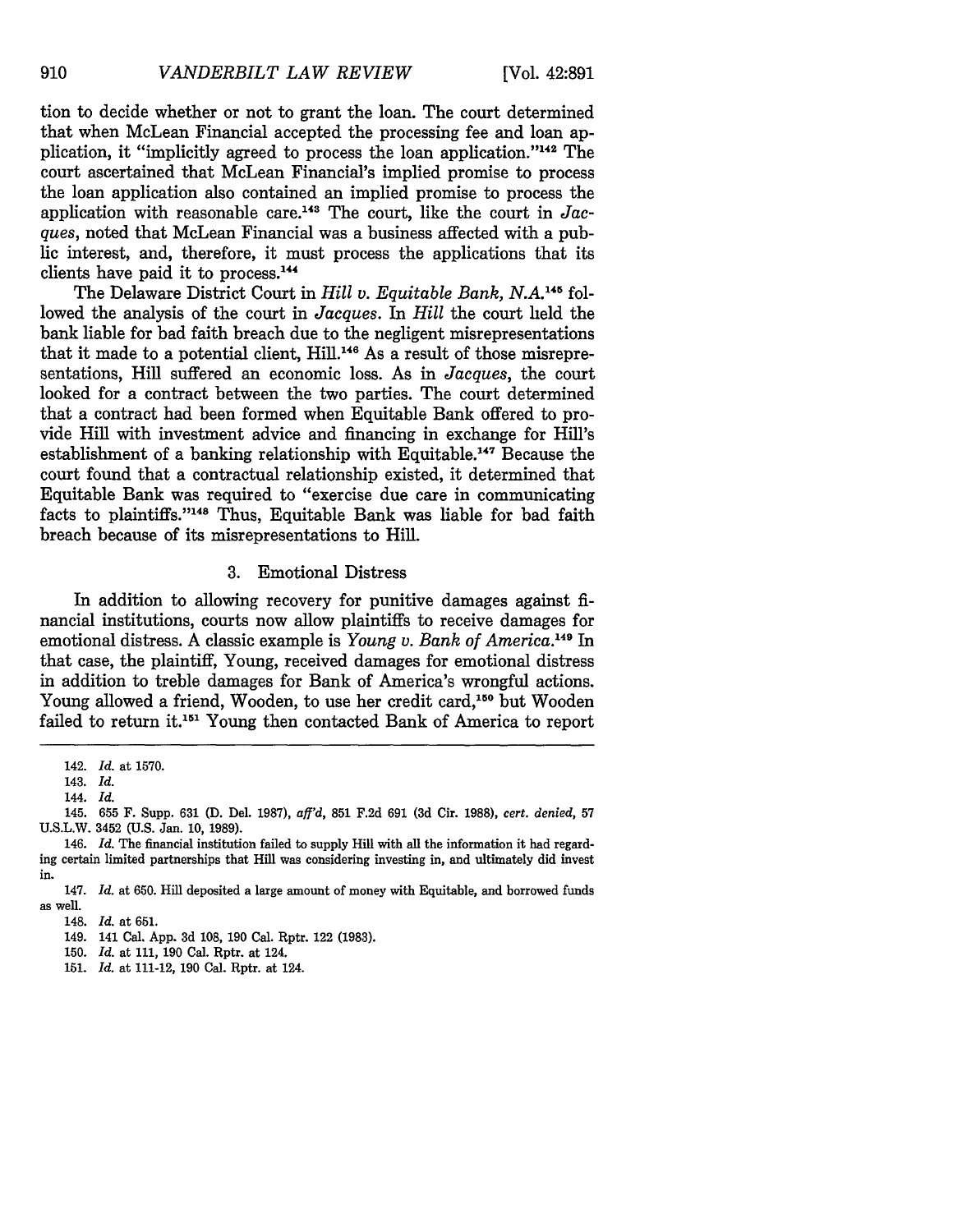tion to decide whether or not to grant the loan. The court determined that when McLean Financial accepted the processing fee and loan application, it "implicitly agreed to process the loan application."<sup>142</sup> The court ascertained that McLean Financial's implied promise to process the loan application also contained an implied promise to process the application with reasonable care.143 The court, like the court in *Jacques,* noted that McLean Financial was a business affected with a public interest, and, therefore, it must process the applications that its clients have paid it to process.<sup>144</sup>

The Delaware District Court in *Hill v. Equitable Bank, N.A.145* followed the analysis of the court in *Jacques.* In *Hill* the court held the bank liable for bad faith breach due to the negligent misrepresentations that it made to a potential client, Hill.<sup>146</sup> As a result of those misrepresentations, Hill suffered an economic loss. As in *Jacques,* the court looked for a contract between the two parties. The court determined that a contract had been formed when Equitable Bank offered to provide Hill with investment advice and financing in exchange for Hill's establishment of a banking relationship with Equitable. 147 Because the court found that a contractual relationship existed, it determined that Equitable Bank was required to "exercise due care in communicating facts to plaintiffs."148 Thus, Equitable Bank was liable for bad faith breach because of its misrepresentations to Hill.

#### 3. Emotional Distress

In addition to allowing recovery for punitive damages against financial institutions, courts now allow plaintiffs to receive damages for emotional distress. A classic example is *Young v. Bank of America.'49* In that case, the plaintiff, Young, received damages for emotional distress in addition to treble damages for Bank of America's wrongful actions. Young allowed a friend, Wooden, to use her credit card,<sup>150</sup> but Wooden failed to return it. 151 Young then contacted Bank of America to report

<sup>142.</sup> *Id.* at 1570.

<sup>143.</sup> *Id.*

<sup>144.</sup> *Id.*

<sup>145. 655</sup> F. Supp. 631 (D. Del. 1987), *af'd,* 851 F.2d 691 (3d Cir. 1988), *cert. denied,* <sup>57</sup> U.S.L.W. 3452 (U.S. Jan. 10, 1989).

<sup>146.</sup> *Id.* The financial institution failed to supply Hill with all the information it had regarding certain limited partnerships that Hill was considering investing in, and ultimately did invest in.

<sup>147.</sup> *Id.* at 650. Hill deposited a large amount of money with Equitable, and borrowed funds as well.

<sup>148.</sup> *Id.* at 651.

<sup>149. 141</sup> Cal. App. 3d **108,** 190 Cal. Rptr. 122 **(1983).**

<sup>150.</sup> *Id.* at 111, 190 Cal. Rptr. at 124.

<sup>151.</sup> *Id.* at 111-12, 190 Cal. Rptr. at 124.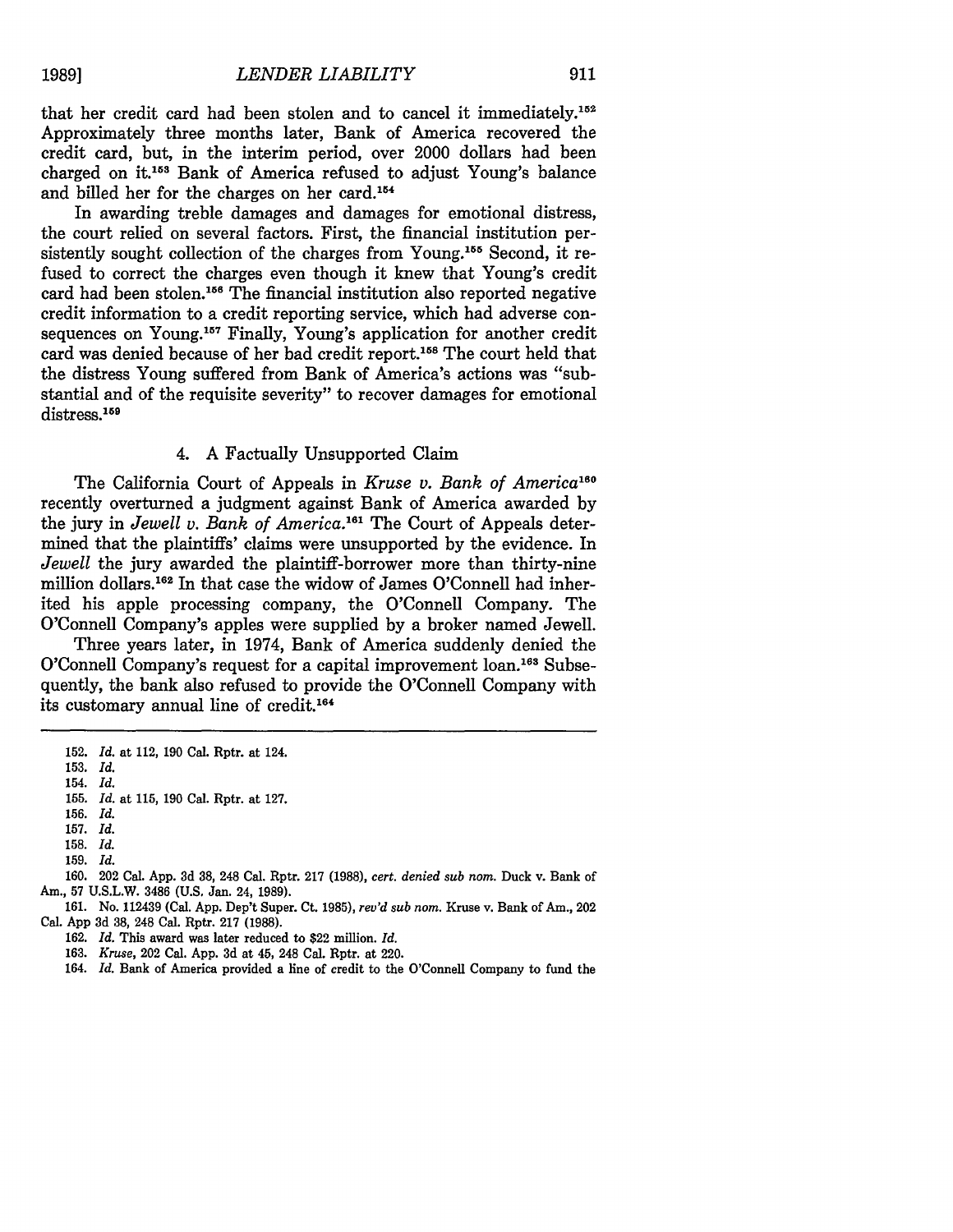that her credit card had been stolen and to cancel it immediately.<sup>152</sup> Approximately three months later, Bank of America recovered the credit card, but, in the interim period, over 2000 dollars had been charged on it.<sup>153</sup> Bank of America refused to adjust Young's balance and billed her for the charges on her card.154

In awarding treble damages and damages for emotional distress, the court relied on several factors. First, the financial institution persistently sought collection of the charges from Young.<sup>155</sup> Second, it refused to correct the charges even though it knew that Young's credit card had been stolen.<sup>156</sup> The financial institution also reported negative credit information to a credit reporting service, which had adverse consequences on Young.<sup>157</sup> Finally, Young's application for another credit card was denied because of her bad credit report.<sup>158</sup> The court held that the distress Young suffered from Bank of America's actions was "substantial and of the requisite severity" to recover damages for emotional distress.<sup>159</sup>

# 4. A Factually Unsupported Claim

The California Court of Appeals in *Kruse v. Bank of America*<sup>160</sup> recently overturned a judgment against Bank of America awarded by the jury in *Jewell v. Bank of America.'6'* The Court of Appeals determined that the plaintiffs' claims were unsupported by the evidence. In *Jewell* the jury awarded the plaintiff-borrower more than thirty-nine million dollars.<sup>162</sup> In that case the widow of James O'Connell had inherited his apple processing company, the O'Connell Company. The O'Connell Company's apples were supplied by a broker named Jewell.

Three years later, in 1974, Bank of America suddenly denied the O'Connell Company's request for a capital improvement loan.<sup>163</sup> Subsequently, the bank also refused to provide the O'Connell Company with its customary annual line of credit.<sup>164</sup>

**160.** 202 Cal. **App. 3d 38,** 248 Cal. Rptr. **217 (1988),** *cert. denied sub nom.* Duck v. Bank of Am., **57 U.S.L.W. 3486 (U.S.** Jan. 24, **1989).**

<sup>152.</sup> *Id.* at 112, 190 Cal. Rptr. at 124.

<sup>153.</sup> *Id.*

<sup>154.</sup> *Id.*

<sup>155.</sup> *Id.* at 115, 190 Cal. Rptr. at 127.

**<sup>156.</sup>** *Id.*

<sup>157.</sup> *Id.* **158.** *Id.*

**<sup>159.</sup>** *Id.*

**<sup>161.</sup>** No. 112439 (Cal. **App.** Dep't Super. Ct. **1985),** *rev'd sub nom.* Kruse v. Bank of Am., 202 Cal. **App 3d 38,** 248 Cal. Rptr. **217 (1988).**

**<sup>162.</sup>** *Id.* This award was later reduced to \$22 million. *Id.*

**<sup>163.</sup>** *Kruse,* 202 Cal. **App. 3d** at **45,** 248 Cal. Rptr. at 220.

<sup>164.</sup> *Id.* Bank of America provided a line of credit to the O'Connell Company to fund the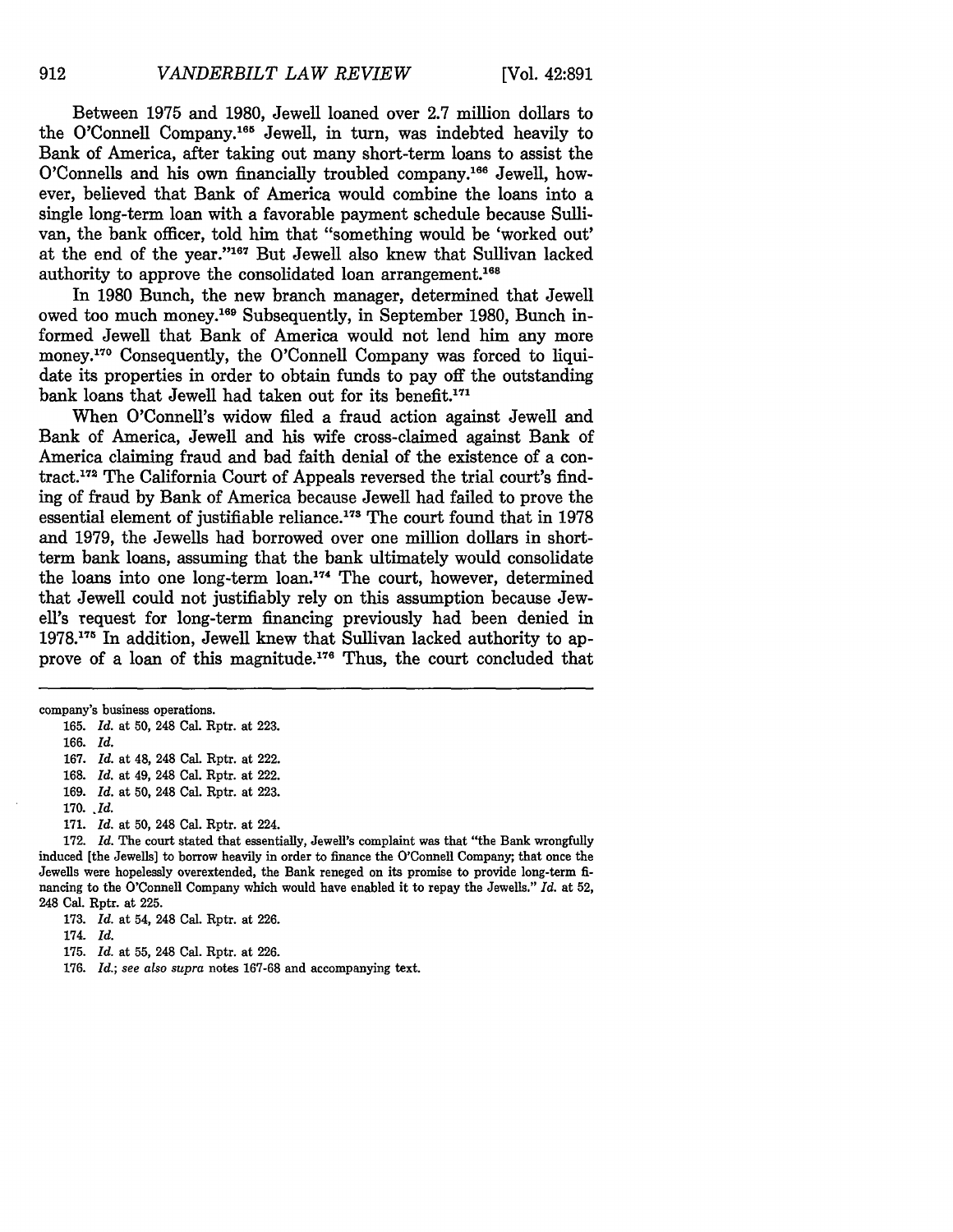Between 1975 and 1980, Jewell loaned over 2.7 million dollars to the O'Connell Company.<sup>165</sup> Jewell, in turn, was indebted heavily to Bank of America, after taking out many short-term loans to assist the O'Connells and his own financially troubled company.<sup>166</sup> Jewell, however, believed that Bank of America would combine the loans into a single long-term loan with a favorable payment schedule because Sullivan, the bank officer, told him that "something would be 'worked out' at the end of the year."<sup>167</sup> But Jewell also knew that Sullivan lacked authority to approve the consolidated loan arrangement.<sup>168</sup>

In 1980 Bunch, the new branch manager, determined that Jewell owed too much money.<sup>169</sup> Subsequently, in September 1980, Bunch informed Jewell that Bank of America would not lend him any more money.<sup>170</sup> Consequently, the O'Connell Company was forced to liquidate its properties in order to obtain funds to pay off the outstanding bank loans that Jewell had taken out for its benefit.<sup>171</sup>

When O'Connell's widow filed a fraud action against Jewell and Bank of America, Jewell and his wife cross-claimed against Bank of America claiming fraud and bad faith denial of the existence of a contract.<sup>172</sup> The California Court of Appeals reversed the trial court's finding of fraud by Bank of America because Jewell had failed to prove the essential element of justifiable reliance.<sup>173</sup> The court found that in 1978 and 1979, the Jewells had borrowed over one million dollars in shortterm bank loans, assuming that the bank ultimately would consolidate the loans into one long-term loan.<sup>174</sup> The court, however, determined that Jewell could not justifiably rely on this assumption because Jewell's request for long-term financing previously had been denied in 1978.<sup>175</sup> In addition, Jewell knew that Sullivan lacked authority to approve of a loan of this magnitude.<sup>176</sup> Thus, the court concluded that

company's business operations.

165. *Id.* at **50,** 248 Cal. Rptr. at 223.

166. *Id.*

167. *Id.* at 48, 248 Cal. Rptr. at 222.

168. *Id.* at 49, 248 Cal. Rptr. at 222.

169. *Id.* at **50,** 248 Cal. Rptr. at 223.

170. *.1d.*

171. *Id.* at **50,** 248 Cal. Rptr. at 224.

172. *Id.* The court stated that essentially, Jewell's complaint was that "the Bank wrongfully induced [the Jewells] to borrow heavily in order to finance the O'Connell Company; that once the Jewells were hopelessly overextended, the Bank reneged on its promise to provide long-term financing to the O'Connell Company which would have enabled it to repay the Jewells." *Id.* at 52, 248 Cal. Rptr. at 225.

173. *Id.* at 54, 248 Cal. Rptr. at 226.

174. *Id.*

175. *Id.* at 55, 248 Cal. Rptr. at 226.

176. *Id.; see also supra* notes 167-68 and accompanying text.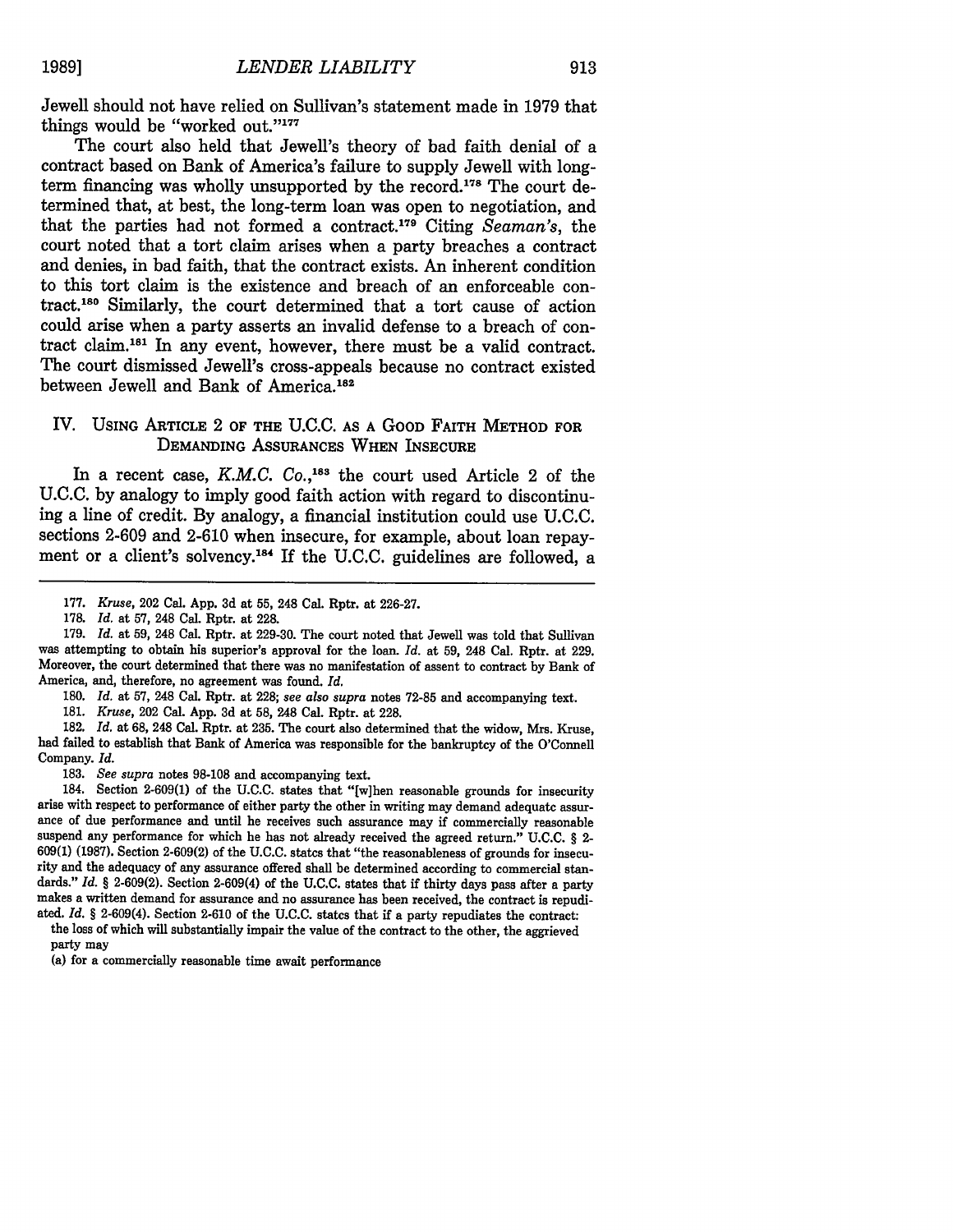Jewell should not have relied on Sullivan's statement made in 1979 that things would be "worked out."<sup>177</sup>

The court also held that Jewell's theory of bad faith denial of a contract based on Bank of America's failure to supply Jewell with longterm financing was wholly unsupported by the record.<sup>178</sup> The court determined that, at best, the long-term loan was open to negotiation, and that the parties had not formed a contract.<sup>179</sup> Citing *Seaman's*, the court noted that a tort claim arises when a party breaches a contract and denies, in bad faith, that the contract exists. An inherent condition to this tort claim is the existence and breach of an enforceable contract.180 Similarly, the court determined that a tort cause of action could arise when a party asserts an invalid defense to a breach of contract claim.181 In any event, however, there must be a valid contract. The court dismissed Jewell's cross-appeals because no contract existed between Jewell and Bank of America.<sup>182</sup>

# IV. **USING** ARTICLE 2 OF THE **U.C.C. AS** A GOOD FAITH METHOD FOR DEMANDING ASSURANCES WHEN INSECURE

In a recent case, *K.M.C.* Co.,<sup>183</sup> the court used Article 2 of the U.C.C. by analogy to imply good faith action with regard to discontinuing a line of credit. By analogy, a financial institution could use U.C.C. sections 2-609 and 2-610 when insecure, for example, about loan repayment or a client's solvency.<sup>184</sup> If the U.C.C. guidelines are followed, a

*180. Id.* at 57, 248 Cal. Rptr. at 228; *see also supra* notes 72-85 and accompanying text.

181. *Kruse,* 202 Cal. App. 3d at **58,** 248 Cal. Rptr. at 228.

182. *Id.* at 68, 248 Cal. Rptr. at 235. The court also determined that the widow, Mrs. Kruse, had failed to establish that Bank of America was responsible for the bankruptcy of the O'Connell Company. *Id.*

183. *See supra* notes 98-108 and accompanying text.

184. Section 2-609(1) of the U.C.C. states that "[w]hen reasonable grounds for insecurity arise with respect to performance of either party the other in writing may demand adequate assur- ance of due performance and until he receives such assurance may if commercially reasonable suspend any performance for which he has not already received the agreed return." **U.C.C.** § 2- **609(1) (1987).** Section **2-609(2)** of the **U.C.C.** states that "the reasonableness of grounds for insecurity and the adequacy of any assurance offered shall be determined according to commercial standards."  $Id.$  § 2-609(2). Section 2-609(4) of the U.C.C. states that if thirty days pass after a party makes a written demand for assurance and no assurance has been received, the contract is repudiated. *Id. §* 2-609(4). Section **2-610** of the **U.C.C.** states that if a party repudiates the contract:

the loss of which will substantially impair the value of the contract to the other, the aggrieved party may

(a) for a commercially reasonable time await performance

<sup>177.</sup> *Kruse,* 202 Cal. App. 3d at 55, 248 Cal. Rptr. at 226-27.

<sup>178.</sup> *Id.* at 57, 248 Cal. Rptr. at 228.

<sup>179.</sup> *Id.* at 59, 248 Cal. Rptr. at 229-30. The court noted that Jewell was told that Sullivan was attempting to obtain his superior's approval for the loan. *Id.* at 59, 248 Cal. Rptr. at 229. Moreover, the court determined that there was no manifestation of assent to contract by Bank of America, and, therefore, no agreement was found. *Id.*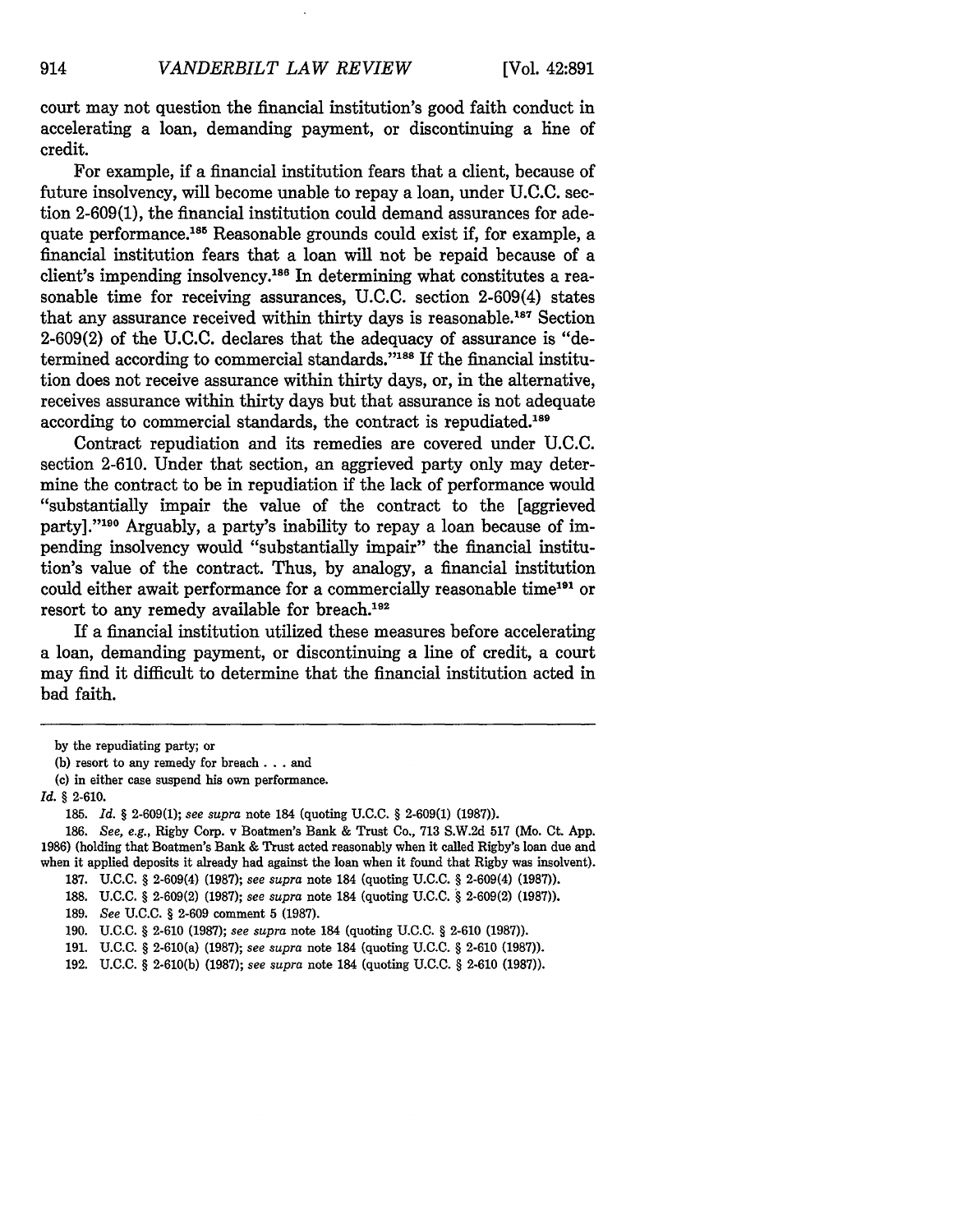court may not question the financial institution's good faith conduct in accelerating a loan, demanding payment, or discontinuing a line of credit.

For example, if a financial institution fears that a client, because of future insolvency, will become unable to repay a loan, under **U.C.C.** section **2-609(1),** the financial institution could demand assurances for adequate performance.<sup>185</sup> Reasonable grounds could exist if, for example, a financial institution fears that a loan will not be repaid because of a client's impending insolvency.<sup>186</sup> In determining what constitutes a reasonable time for receiving assurances, **U.C.C.** section 2-609(4) states that any assurance received within thirty days is reasonable. 187 Section **2-609(2)** of the **U.C.C.** declares that the adequacy of assurance is "determined according to commercial standards."<sup>188</sup> If the financial institution does not receive assurance within thirty days, or, in the alternative, receives assurance within thirty days but that assurance is not adequate according to commercial standards, the contract is repudiated.<sup>189</sup>

Contract repudiation and its remedies are covered under **U.C.C.** section **2-610.** Under that section, an aggrieved party only may determine the contract to be in repudiation if the lack of performance would "substantially impair the value of the contract to the [aggrieved party]."'90 Arguably, a party's inability to repay a loan because of impending insolvency would "substantially impair" the financial institution's value of the contract. Thus, by analogy, a financial institution could either await performance for a commercially reasonable time<sup>191</sup> or resort to any remedy available for breach.<sup>192</sup>

If a financial institution utilized these measures before accelerating a loan, demanding payment, or discontinuing a line of credit, a court may find it difficult to determine that the financial institution acted in bad faith.

by the repudiating party; or

**<sup>(</sup>b)** resort to any remedy for breach **. . .** and

<sup>(</sup>c) in either case suspend his own performance.

*Id.* § 2-610.

<sup>185.</sup> *Id. §* 2-609(1); *see supra* note 184 (quoting U.C.C. § 2-609(1) (1987)).

<sup>186.</sup> *See, e.g.,* Rigby Corp. v Boatmen's Bank & Trust Co., 713 S.W.2d 517 (Mo. Ct. App. 1986) (holding that Boatmen's Bank & Trust acted reasonably when it called Rigby's loan due and when it applied deposits it already had against the loan when it found that Rigby was insolvent).

<sup>187.</sup> U.C.C. *§* 2-609(4) (1987); *see supra* note 184 (quoting U.C.C. § 2-609(4) (1987)).

<sup>188.</sup> U.C.C. § 2-609(2) (1987); *see supra* note 184 (quoting U.C.C. *§* 2-609(2) (1987)).

<sup>189.</sup> *See* U.C.C. § 2-609 comment **5** (1987).

<sup>190.</sup> U.C.C. § 2-610 (1987); *see supra* note 184 (quoting **U.C.C.** § 2-610 (1987)).

<sup>191.</sup> U.C.C. *§* 2-610(a) (1987); *see supra* note 184 (quoting U.C.C. *§* 2-610 (1987)).

<sup>192.</sup> U.C.C. § 2-610(b) (1987); *see supra* note 184 (quoting U.C.C. § 2-610 (1987)).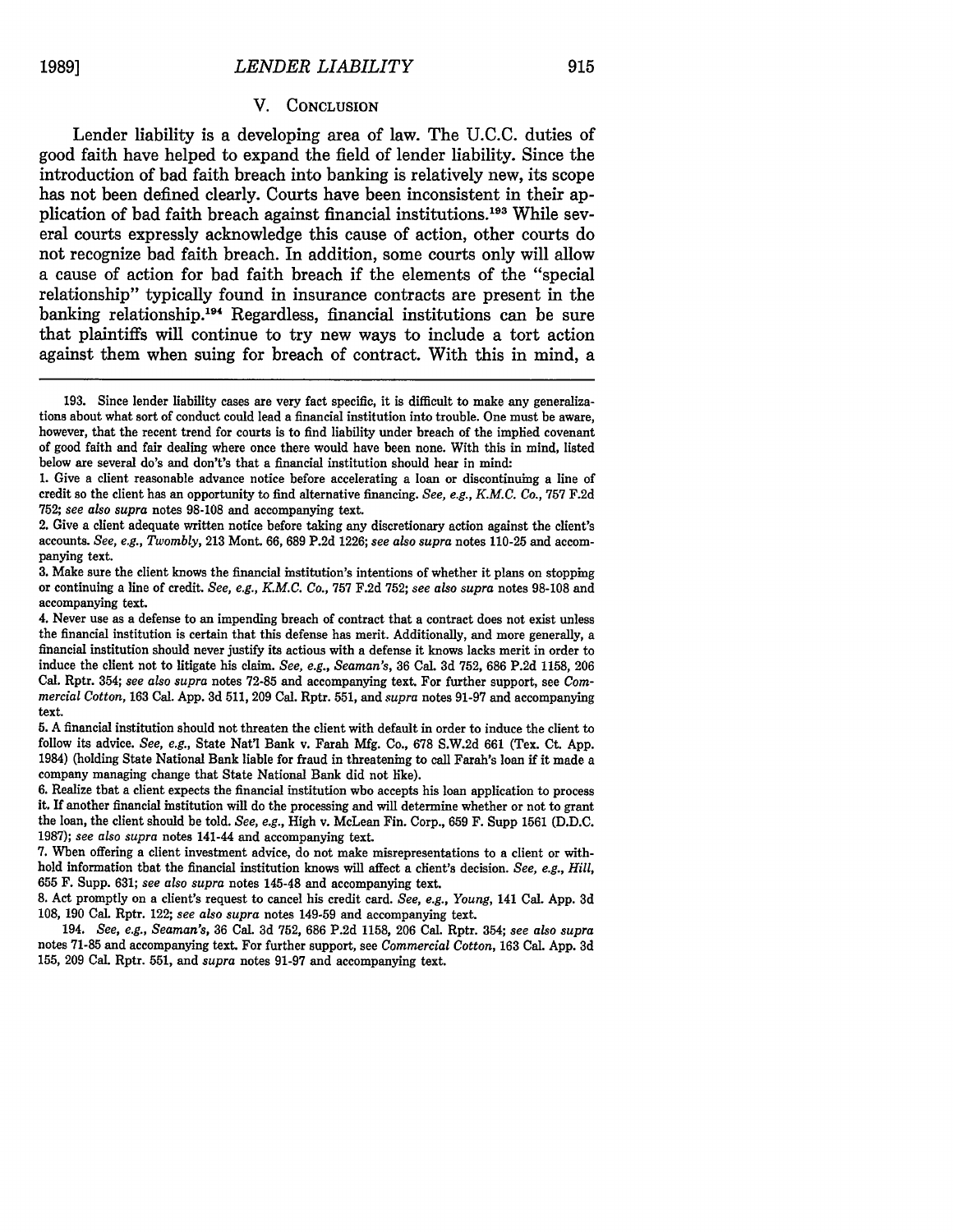#### V. CONCLUSION

Lender liability is a developing area of law. The U.C.C. duties of good faith have helped to expand the field of lender liability. Since the introduction of bad faith breach into banking is relatively new, its scope has not been defined clearly. Courts have been inconsistent in their application of bad faith breach against financial institutions. 193 While several courts expressly acknowledge this cause of action, other courts do not recognize bad faith breach. In addition, some courts only will allow a cause of action for bad faith breach if the elements of the "special relationship" typically found in insurance contracts are present in the banking relationship.<sup>194</sup> Regardless, financial institutions can be sure that plaintiffs will continue to try new ways to include a tort action against them when suing for breach of contract. With this in mind, a

<sup>193.</sup> Since lender liability cases are very fact specific, it is difficult to make any generalizations about what sort of conduct could lead a financial institution into trouble. One must be aware, however, that the recent trend for courts is to find liability under breach of the implied covenant of good faith and fair dealing where once there would have been none. With this in mind, listed below are several do's and don't's that a financial institution should bear in mind:

<sup>1.</sup> Give a client reasonable advance notice before accelerating a loan or discontinuing a line of credit so the client has an opportunity to find alternative financing. *See, e.g., K.M.C. Co.,* 757 F.2d 752; *see also supra* notes 98-108 and accompanying text.

<sup>2.</sup> Give a client adequate written notice before taking any discretionary action against the client's accounts. *See, e.g., Twombly,* 213 Mont. 66, 689 P.2d 1226; *see also supra* notes 110-25 and accompanying text.

<sup>3.</sup> Make sure the client knows the financial institution's intentions of whether it plans on stopping or continuing a line of credit. *See, e.g., K.M.C. Co.,* 757 F.2d 752; *see also supra* notes 98-108 and accompanying text.

<sup>4.</sup> Never use as a defense to an impending breach of contract that a contract does not exist unless the financial institution is certain that this defense has merit. Additionally, and more generally, a financial institution should never justify its actions with a defense it knows lacks merit in order to induce the client not to litigate his claim. *See, e.g., Seaman's,* 36 Cal. 3d 752, 686 P.2d 1158, 206 Cal. Rptr. 354; *see also supra* notes 72-85 and accompanying text. For further support, see *Commercial Cotton,* 163 Cal. App. 3d 511, 209 Cal. Rptr. 551, and *supra* notes 91-97 and accompanying text.

**<sup>5.</sup> A** financial institution should not threaten the client with default in order to induce the client to follow its advice. *See, e.g.,* State Nat'l Bank v. Farah **Mfg.** Co., **678 S.W.2d 661** (Tex. Ct. **App.** 1984) (holding State National Bank liable for fraud in threatening to call Farah's loan if it made a company managing change that State National Bank did not like).

**<sup>6.</sup>** Realize that a client expects the financial institution who accepts his loan application to process it. If another financial institution will do the processing and will determine whether or not to grant the loan, the client should be told. *See, e.g.,* High v. McLean Fin. Corp., **659** F. Supp **1561 (D.D.C. 1987);** *see also supra* notes 141-44 and accompanying text.

**<sup>7.</sup>** When offering a client investment advice, do not make misrepresentations to a client or withhold information that the financial institution knows will affect a client's decision. *See, e.g., Hill,* **655** F. Supp. **631;** *see also supra* notes 145-48 and accompanying text.

**<sup>8.</sup>** Act promptly on a client's request to cancel his credit card. *See, e.g., Young,* 141 Cal. **App. 3d 108, 190** Cal. Rptr. 122; *see also supra* notes 149-59 and accompanying text.

<sup>194.</sup> *See, e.g., Seaman's,* **36** Cal. **3d 752, 686 P.2d 1158, 206** Cal. Rptr. 354; *see also supra* notes **71-85** and accompanying text. For further support, see *Commercial Cotton,* **163** Cal. **App. 3d 155, 209** Cal. Rptr. **551,** and *supra* notes **91-97** and accompanying text.